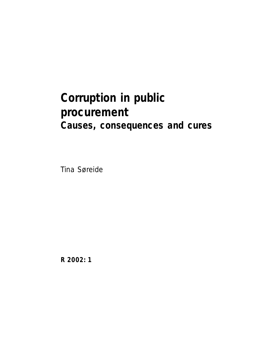# **Corruption in public procurement Causes, consequences and cures**

Tina Søreide

**R 2002: 1**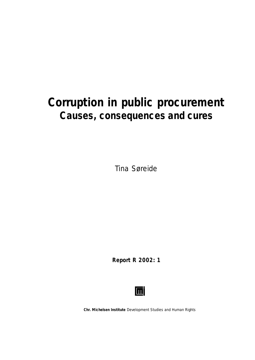# **Corruption in public procurement Causes, consequences and cures**

Tina Søreide

**Report R 2002: 1**



**Chr. Michelsen Institute** *Development Studies and Human Rights*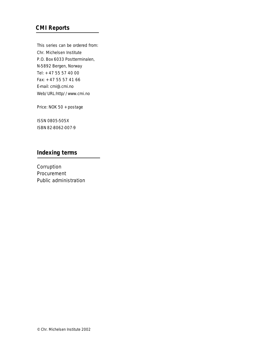## **CMI Reports**

This series can be ordered from: Chr. Michelsen Institute P.O. Box 6033 Postterminalen, N-5892 Bergen, Norway Tel: + 47 55 57 40 00 Fax: + 47 55 57 41 66 E-mail: cmi@.cmi.no Web/URL:http//www.cmi.no

Price: NOK 50 + postage

ISSN 0805-505X ISBN 82-8062-007-9

### **Indexing terms**

Corruption Procurement Public administration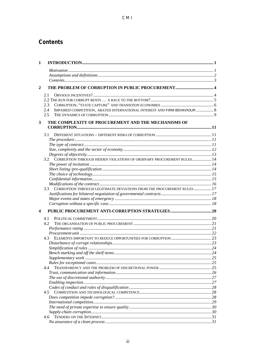## **Contents**

| 1                       |                                                                                    |  |
|-------------------------|------------------------------------------------------------------------------------|--|
|                         |                                                                                    |  |
|                         |                                                                                    |  |
|                         |                                                                                    |  |
| $\mathbf{2}$            |                                                                                    |  |
|                         |                                                                                    |  |
|                         | 2.1                                                                                |  |
|                         |                                                                                    |  |
|                         | 2.3                                                                                |  |
|                         | 2.4<br>IMPAIRED COMPETITION, ABATED INTERNATIONAL INTEREST AND FIRM BEHAVIOUR  8   |  |
|                         | 2.5                                                                                |  |
| 3                       | THE COMPLEXITY OF PROCUREMENT AND THE MECHANISMS OF                                |  |
|                         |                                                                                    |  |
|                         | 3.1                                                                                |  |
|                         |                                                                                    |  |
|                         |                                                                                    |  |
|                         |                                                                                    |  |
|                         |                                                                                    |  |
|                         | 3.2<br>CORRUPTION THROUGH HIDDEN VIOLATIONS OF ORDINARY PROCUREMENT RULES 14       |  |
|                         |                                                                                    |  |
|                         |                                                                                    |  |
|                         |                                                                                    |  |
|                         |                                                                                    |  |
|                         | CORRUPTION THROUGH LEGITIMATE DEVIATIONS FROM THE PROCUREMENT RULES  17<br>$3.3 -$ |  |
|                         |                                                                                    |  |
|                         |                                                                                    |  |
|                         |                                                                                    |  |
|                         |                                                                                    |  |
| $\overline{\mathbf{4}}$ |                                                                                    |  |
|                         | 4.1                                                                                |  |
|                         | 4.2                                                                                |  |
|                         |                                                                                    |  |
|                         |                                                                                    |  |
|                         | 4.3                                                                                |  |
|                         |                                                                                    |  |
|                         |                                                                                    |  |
|                         |                                                                                    |  |
|                         |                                                                                    |  |
|                         |                                                                                    |  |
|                         | 4.4                                                                                |  |
|                         |                                                                                    |  |
|                         |                                                                                    |  |
|                         |                                                                                    |  |
|                         |                                                                                    |  |
|                         | 4.5                                                                                |  |
|                         |                                                                                    |  |
|                         |                                                                                    |  |
|                         |                                                                                    |  |
|                         |                                                                                    |  |
|                         |                                                                                    |  |
|                         | 4.6                                                                                |  |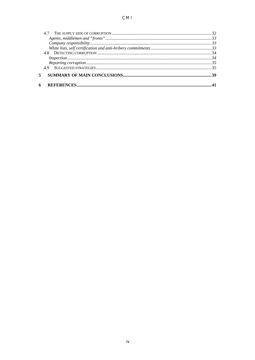|    | 4.9 |  |
|----|-----|--|
| 5. |     |  |
|    |     |  |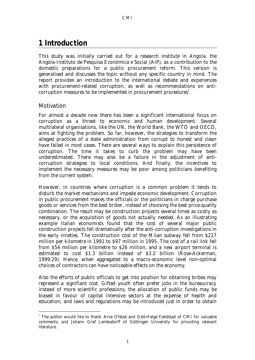## **1 Introduction**

This study was initially carried out for a research institute in Angola, the *Angola-Instituto de Pesquisa Económica e Social* (AIP), as a contribution to the domestic preparations for a public procurement reform. This version is generalised and discusses the topic without any specific country in mind. The report provides an introduction to the international debate and experiences with procurement-related corruption, as well as recommendations on anticorruption measures to be implemented in procurement procedures<sup>1</sup>.

#### *Motivation*

For almost a decade now there has been a significant international focus on corruption as a threat to economic and human development. Several multilateral organisations, like the UN, the World Bank, the WTO and OECD, aims at fighting the problem. So far, however, the strategies to transform the alleged practices of a state administration from corrupt to honest and clean have failed in most cases. There are several ways to explain this persistence of corruption. The time it takes to curb the problem may have been underestimated. There may also be a failure in the adjustment of anticorruption strategies to local conditions. And finally, the incentives to implement the necessary measures may be poor among politicians benefiting from the current system.

However, in countries where corruption is a common problem it tends to disturb the market mechanisms and impede economic development. Corruption in public procurement makes the officials or the politicians in charge purchase goods or services from the best briber, instead of choosing the best price-quality combination. The result may be construction projects several times as costly as necessary, or the acquisition of goods not actually needed. As an illustrating example Italian economists found that the cost of several major public construction projects fell dramatically after the anti-corruption investigations in the early nineties. The construction cost of the Milan subway fell from \$227 million per kilometre in 1991 to \$97 million in 1995. The cost of a rail link fell from \$54 million per kilometre to \$26 million, and a new airport terminal is estimated to cost \$1.3 billion instead of \$3.2 billion (Rose-Ackerman, 1999:29). Hence, when aggregated to a macro-economic level non-optimal choices of contractors can have noticeable effects on the economy.

Also the efforts of public officials to get into position for obtaining bribes may represent a signifiant cost. Gifted youth often prefer jobs in the bureaucracy instead of more scientific professions, the allocation of public funds may be biased in favour of capital intensive sectors at the expense of health and education, and laws and regulations may be introduced just in order to obtain

 1 The author would like to thank Arve Ofstad and Odd-Helge Fjeldstad of CMI for valuable comments, and Johann Graf Lambsdorff of Göttingen University for providing relevant literature.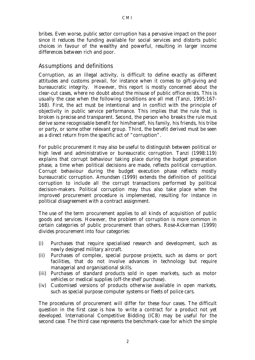bribes. Even worse, public sector corruption has a pervasive impact on the poor since it reduces the funding available for social services and distorts public choices in favour of the wealthy and powerful, resulting in larger income differences between rich and poor.

#### *Assumptions and definitions*

*Corruption*, as an illegal activity, is difficult to define exactly as different attitudes and customs prevail, for instance when it comes to gift-giving and bureaucratic integrity. However, this report is mostly concerned about the clear-cut cases, where no doubt about the misuse of public office exists. This is usually the case when the following conditions are all met (Tanzi, 1995:167- 168). *First*, the act must be intentional and in conflict with the principle of objectivity in public service performance. This implies that the rule that is broken is precise and transparent. *Second*, the person who breaks the rule must derive some recognisable benefit for him/herself, his family, his friends, his tribe or party, or some other relevant group. *Third*, the benefit derived must be seen as a direct return from the specific act of "corruption".

For public procurement it may also be useful to distinguish between *political* or *high level* and *administrative* or *bureaucratic* corruption. Tanzi (1998:119) explains that corrupt behaviour taking place during the budget *preparation* phase, a time when political decisions are made, reflects political corruption. Corrupt behaviour during the budget *execution* phase reflects mostly *bureaucratic corruption*. Amundsen (1999) extends the definition of political corruption to include all the corrupt transactions performed by political decision-makers. Political corruption may thus also take place when the improved procurement procedure is implemented, resulting for instance in political disagreement with a contract assignment.

The use of the term *procurement* applies to all kinds of acquisition of public goods and services. However, the problem of corruption is more common in certain categories of public procurement than others. Rose-Ackerman (1999) divides procurement into four categories:

- (i) Purchases that require specialised research and development, such as newly designed military aircraft.
- (ii) Purchases of complex, special purpose projects, such as dams or port facilities, that do not involve advances in technology but require managerial and organisational skills.
- (iii) Purchases of standard products sold in open markets, such as motor vehicles or medical supplies (off-the shelf purchase).
- (iv) Customised versions of products otherwise available in open markets, such as special purpose computer systems or fleets of police cars.

The procedures of procurement will differ for these four cases. The difficult question in the first case is how to write a contract for a product not yet developed. International Competitive Bidding (ICB) may be useful for the second case. The third case represents the benchmark-case for which the simple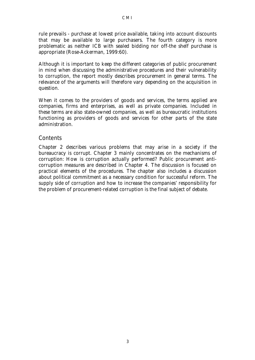rule prevails - purchase at lowest price available, taking into account discounts that may be available to large purchasers. The fourth category is more problematic as neither ICB with sealed bidding nor off-the shelf purchase is appropriate (Rose-Ackerman, 1999:60).

Although it is important to keep the different categories of public procurement in mind when discussing the administrative procedures and their vulnerability to corruption, the report mostly describes procurement in general terms. The relevance of the arguments will therefore vary depending on the acquisition in question.

When it comes to the providers of goods and services, the terms applied are *companies, firms* and *enterprises*, as well as *private* companies. Included in these terms are also state-owned companies, as well as bureaucratic institutions functioning as providers of goods and services for other parts of the state administration.

#### *Contents*

Chapter 2 describes various problems that may arise in a society if the bureaucracy is corrupt. Chapter 3 mainly concentrates on the mechanisms of corruption: *How* is corruption actually performed? Public procurement anticorruption measures are described in Chapter 4. The discussion is focused on practical elements of the procedures. The chapter also includes a discussion about political commitment as a necessary condition for successful reform. The supply side of corruption and how to increase the companies' responsibility for the problem of procurement-related corruption is the final subject of debate.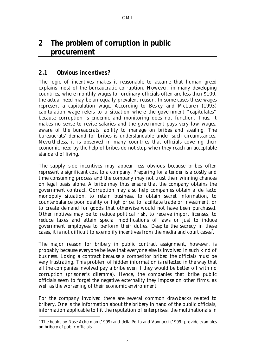# **2 The problem of corruption in public procurement**

#### **2.1 Obvious incentives?**

The logic of incentives makes it reasonable to assume that human greed explains most of the bureaucratic corruption. However, in many developing countries, where monthly wages for ordinary officials often are less then \$100, the actual need may be an equally prevalent reason. In some cases these wages represent a *capitulation wage*. According to Besley and McLaren (1993) capitulation wage refers to a situation where the government "capitulates" because corruption is endemic and monitoring does not function. Thus, it makes no sense to revise salaries and the government pays very low wages, aware of the bureaucrats' ability to manage on bribes and stealing. The bureaucrats' demand for bribes is understandable under such circumstances. Nevertheless, it is observed in many countries that officials covering their economic need by the help of bribes do not stop when they reach an acceptable standard of living.

The *supply side* incentives may appear less obvious because bribes often represent a significant cost to a company. Preparing for a tender is a costly and time consuming process and the company may not trust their winning chances on legal basis alone. A bribe may thus ensure that the company obtains the government contract. Corruption may also help companies obtain a *de facto* monopoly situation, to retain business, to obtain secret information, to counterbalance poor quality or high price, to facilitate trade or investment, or to create demand for goods that otherwise would not have been purchased. Other motives may be to reduce political risk, to receive import licenses, to reduce taxes and attain special modifications of laws or just to induce government employees to perform their duties. Despite the secrecy in these cases, it is not difficult to exemplify incentives from the media and court cases<sup>2</sup>.

The major reason for bribery in public contract assignment, however, is probably because everyone believe that everyone else is involved in such kind of business. Losing a contract because a competitor bribed the officials must be very frustrating. This problem of hidden information is reflected in the way that all the companies involved pay a bribe even if they would be better off with no corruption (prisoner's dilemma). Hence, the companies that bribe public officials seem to forget the negative externality they impose on other firms, as well as the worsening of their economic environment.

For the company involved there are several common drawbacks related to bribery. One is the information about the bribery in hand of the public officials, information applicable to hit the reputation of enterprises, the multinationals in

 $^2$  The books by Rose-Ackerman (1999) and della Porta and Vannucci (1999) provide examples on bribery of public officials.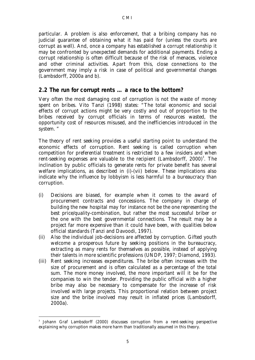particular. A problem is also enforcement, that a bribing company has no judicial guarantee of obtaining what it has paid for (unless the courts are corrupt as well). And, once a company has established a corrupt relationship it may be confronted by unexpected demands for additional payments. Ending a corrupt relationship is often difficult because of the risk of menaces, violence and other criminal activities. Apart from this, close connections to the government may imply a risk in case of political and governmental changes (Lambsdorff, 2000a and b).

#### **2.2 The run for corrupt rents … a race to the bottom?**

Very often the most damaging cost of corruption is not the waste of money spent on bribes. Vito Tanzi (1998) states: "*The total economic and social effects of corrupt actions might be very costly and out of proportion to the bribes received by corrupt officials in terms of resources wasted, the opportunity cost of resources misused, and the inefficiencies introduced in the system.* "

The theory of rent seeking provides a useful starting point to understand the economic effects of corruption. Rent seeking is called corruption when competition for preferential treatment is restricted to a few insiders and when rent-seeking expenses are valuable to the recipient (Lambsdorff, 2000)<sup>3</sup>. The inclination by public officials to generate rents for private benefit has several welfare implications, as described in (i)-(vii) below. These implications also indicate why the influence by lobbyism is less harmful to a bureaucracy than corruption.

- (i) Decisions are biased, for example when it comes to the award of procurement contracts and concessions. The company in charge of building the new hospital may for instance not be the one representing the best price/quality-combination, but rather the most successful briber or the one with the best governmental connections. The result may be a project far more expensive than it could have been, with qualities below official standards (Tanzi and Davoodi, 1997).
- (ii) Also the individual job-decisions are affected by corruption. Gifted youth welcome a prosperous future by seeking positions in the bureaucracy, extracting as many rents for themselves as possible, instead of applying their talents in more scientific professions (UNDP, 1997; Diamond, 1993).
- (iii) Rent seeking increases expenditures. The bribe often increases with the size of procurement and is often calculated as a percentage of the total sum. The more money involved, the more important will it be for the companies to win the tender. Providing the public official with a higher bribe may also be necessary to compensate for the increase of risk involved with large projects. This proportional relation between project size and the bribe involved may result in inflated prices (Lambsdorff, 2000a).

<sup>3</sup> Johann Graf Lambsdorff (2000) discusses corruption from a rent-seeking perspective explaining why corruption makes more harm than traditionally assumed in this theory.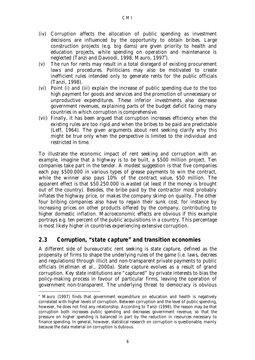(iv) Corruption affects the allocation of public spending as investment decisions are influenced by the opportunity to obtain bribes. Large construction projects (e.g. big dams) are given priority to health and

education projects, while spending on operation and maintenance is

- neglected (Tanzi and Davoodi, 1998; Mauro, 1997<sup>4</sup>). (v) The run for rents may result in a total disregard of existing procurement laws and procedures. Politicians may also be motivated to create inefficient rules intended only to generate rents for the public officials (Tanzi, 1998).
- (vi) Point (i) and (iii) explain the increase of public spending due to the too high payment for goods and services and the promotion of unnecessary or unproductive expenditures. These inferior investments also decrease government revenues, explaining parts of the budget deficit facing many countries in which corruption is comprehensive.
- (vii) Finally, it has been argued that corruption increases efficiency when the existing rules are too rigid and when the bribes to be paid are predictable (Leff, 1964). The given arguments about rent seeking clarify why this might be true only when the perspective is limited to the individual and restricted in time.

To illustrate the economic impact of rent seeking and corruption with an example, imagine that a highway is to be built, a \$500 million project. Ten companies take part in the tender. A modest suggestion is that five companies each pay \$500.000 in various types of grease payments to win the contract, while the winner also pays 10% of the contract value, \$50 million. The apparent effect is that \$50.250.000 is wasted (at least if the money is brought out of the country). Besides, the bribe paid by the contractor most probably inflates the highway price, or makes the company skimp on quality. The other four bribing companies also have to regain their sunk cost, for instance by increasing prices on other products offered by the company, contributing to higher domestic inflation. Macroeconomic effects are obvious if this example portrays e.g. ten percent of the public acquisitions in a country. This percentage is most likely higher in countries experiencing extensive corruption.

### **2.3 Corruption, "state capture" and transition economies**

A different side of bureaucratic rent seeking is *state capture*, defined as the propensity of firms to shape the underlying rules of the game (i.e. laws, decrees and regulations) through illicit and non-transparent private payments to public officials (Hellman et al., 2000a). State capture evolves as a result of grand corruption. Key state institutions are "captured" by private interests to bias the policy-making process in favour of particular firms, leaving the operation of government non-transparent. The underlying threat to democracy is obvious

 $\overline{a}$ 4 Mauro (1997) finds that government expenditure on education and health is negatively correlated with higher levels of corruption. Between corruption and the level of public spending, however, he does not find any relationship. According to Tanzi (1998), the reason may be that corruption both increases public spending *and* decreases government revenue, so that the pressure on higher spending is balanced in part by the reduction in resources necessary to finance spending. In general, however, statistical research on corruption is questionable, mainly because the data material on corruption is dubious.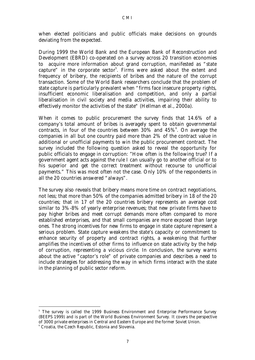when elected politicians and public officials make decisions on grounds deviating from the expected.

During 1999 the World Bank and the European Bank of Reconstruction and Development (EBRD) co-operated on a survey across 20 transition economies to acquire more information about grand corruption, manifested as "state capture" in the corporate sector<sup>5</sup>. Firms were asked about the extent and frequency of bribery, the recipients of bribes and the nature of the corrupt transaction. Some of the World Bank researchers conclude that the problem of state capture is particularly prevalent when "*firms face insecure property rights, insufficient economic liberalisation and competition, and only a partial liberalisation in civil society and media activities, impairing their ability to effectively monitor the activities of the state*" (Hellman et al., 2000a).

When it comes to public procurement the survey finds that 14.6% of a company's total amount of bribes is averagely spent to obtain governmental contracts, in four of the countries between  $30\%$  and  $45\%$ <sup>6</sup>. On average the companies in all but one country paid more than 2% of the contract value in additional or unofficial payments to win the public procurement contract. The survey included the following question asked to reveal the opportunity for public officials to engage in corruption: "*How often is the following true? If a government agent acts against the rule I can usually go to another official or to his superior and get the correct treatment without recourse to unofficial payments."* This was most often not the case. Only 10% of the respondents in all the 20 countries answered "*always*".

The survey also reveals that bribery means more time on contract negotiations, not less; that more than 50% of the companies admitted bribery in 18 of the 20 countries; that in 17 of the 20 countries bribery represents an average cost similar to 3%-8% of yearly enterprise revenues; that new private firms have to pay higher bribes and meet corrupt demands more often compared to more established enterprises, and that small companies are more exposed than large ones. The strong incentives for new firms to engage in state capture represent a serious problem. State capture weakens the state's capacity or commitment to enhance security of property and contract rights, a weakening that further amplifies the incentives of other firms to influence on state activity by the help of corruption, representing a vicious circle. In conclusion, the survey warns about the active "captor's role" of private companies and describes a need to include strategies for addressing the way in which firms interact with the state in the planning of public sector reform.

<sup>&</sup>lt;sup>5</sup> The survey is called the 1999 Business Environment and Enterprise Performance Survey (BEEPS 1999) and is part of the World Business Environment Survey. It covers the perspective of 3000 private enterprises in Central and Eastern Europe and the former Soviet Union.

<sup>&</sup>lt;sup>6</sup> Croatia, the Czech Republic, Estonia and Slovenia.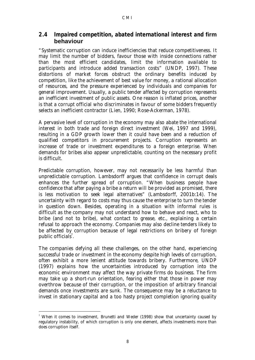#### **2.4 Impaired competition, abated international interest and firm behaviour**

"*Systematic corruption can induce inefficiencies that reduce competitiveness. It may limit the number of bidders, favour those with inside connections rather than the most efficient candidates, limit the information available to participants and introduce added transaction costs*" (UNDP, 1997). These distortions of market forces obstruct the ordinary benefits induced by competition, like the achievement of best value for money, a rational allocation of resources, and the pressure experienced by individuals and companies for general improvement. Usually, a public tender affected by corruption represents an inefficient investment of public assets. One reason is inflated prices, another is that a corrupt official who discriminates in favour of some bidders frequently selects an inefficient contractor (Lien, 1990; Rose-Ackerman, 1978).

A pervasive level of corruption in the economy may also abate the international interest in both trade and foreign direct investment (Wei, 1997 and 1999), resulting in a GDP growth lower then it could have been and a reduction of qualified competitors in procurement projects. Corruption represents an increase of trade or investment expenditures to a foreign enterprise. When demands for bribes also appear unpredictable, counting on the necessary profit is difficult.

Predictable corruption, however, may not necessarily be *less* harmful than *un*predictable corruption. Lambsdorff argues that confidence in corrupt deals enhances the further spread of corruption. "*When business people have confidence that after paying a bribe a return will be provided as promised, there is less motivation to seek legal alternatives*" (Lambsdorff, 2001b:14). The uncertainty with regard to costs may thus cause the enterprise to turn the tender in question down. Besides, operating in a situation with informal rules is difficult as the company may not understand how to behave and react, who to bribe (and not to bribe), what contact to grease, etc., explaining a certain refusal to approach the economy. Companies may also decline tenders likely to be affected by corruption because of legal restrictions on bribery of foreign public officials<sup>7</sup>.

The companies defying all these challenges, on the other hand, experiencing successful trade or investment in the economy despite high levels of corruption, often exhibit a more lenient attitude towards bribery. Furthermore, UNDP (1997) explains how the uncertainties introduced by corruption into the economic environment may affect the way private firms do business. The firm may take up a short-run orientation, fearing either that those in power may overthrow because of their corruption, or the imposition of arbitrary financial demands once investments are sunk. The consequence may be a reluctance to invest in stationary capital and a too hasty project completion ignoring quality

<sup>7</sup> When it comes to investment, Brunetti and Weder (1998) show that uncertainty caused by regulatory instability, of which corruption is only one element, affects investments more than does corruption itself.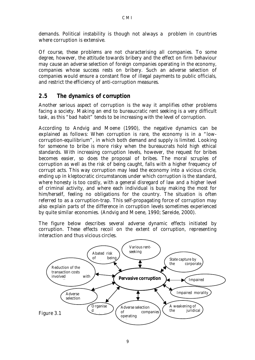demands. Political instability is though not always a problem in countries where corruption is extensive.

Of course, these problems are not characterising all companies. To some degree, however, the attitude towards bribery and the effect on firm behaviour may cause an adverse selection of foreign companies operating in the economy, companies whose success rests on bribery. Such an adverse selection of companies would ensure a constant flow of illegal payments to public officials, and restrict the efficiency of anti-corruption measures.

#### **2.5 The dynamics of corruption**

Another serious aspect of corruption is the way it amplifies other problems facing a society. Making an end to bureaucratic rent seeking is a very difficult task, as this "bad habit" tends to be increasing with the level of corruption.

According to Andvig and Moene (1990), the negative dynamics can be explained as follows: When corruption is rare, the economy is in a "lowcorruption-equilibrium", in which both demand and supply is limited. Looking for someone to bribe is more risky when the bureaucrats hold high ethical standards. With increasing corruption levels, however, the request for bribes becomes easier, so does the proposal of bribes. The moral scruples of corruption as well as the risk of being caught, falls with a higher frequency of corrupt acts. This way corruption may lead the economy into a vicious circle, ending up in kleptocratic circumstances under which corruption is the standard, where honesty is too costly, with a general disregard of law and a higher level of criminal activity, and where each individual is busy making the most for him/herself, feeling no obligations for the country. The situation is often referred to as a corruption-trap. This self-propagating force of corruption may also explain parts of the difference in corruption levels sometimes experienced by quite similar economies. (Andvig and Moene, 1990; Søreide, 2000).

The figure below describes several adverse dynamic effects initiated by corruption. These effects recoil on the extent of corruption, representing interaction and thus vicious circles.

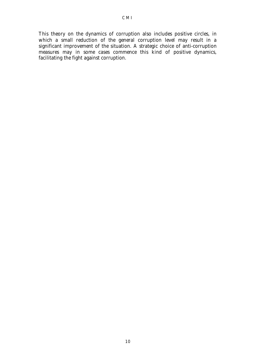This theory on the dynamics of corruption also includes *positive circles*, in which a small reduction of the general corruption level may result in a significant improvement of the situation. A strategic choice of anti-corruption measures may in some cases commence this kind of positive dynamics, facilitating the fight against corruption.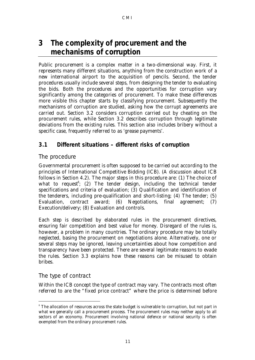# **3 The complexity of procurement and the mechanisms of corruption**

Public procurement is a complex matter in a two-dimensional way. First, it represents many different situations, anything from the construction work of a new international airport to the acquisition of pencils. Second, the tender procedures usually include several steps, from designing the tender to evaluating the bids. Both the procedures and the opportunities for corruption vary significantly among the categories of procurement. To make these differences more visible this chapter starts by classifying procurement. Subsequently the mechanisms of corruption are studied, asking how the corrupt agreements are carried out. Section 3.2 considers corruption carried out by cheating on the procurement rules, while Section 3.2 describes corruption through legitimate deviations from the existing rules. This section also includes bribery without a specific case, frequently referred to as 'grease payments'.

### **3.1 Different situations – different risks of corruption**

#### *The procedure*

Governmental procurement is often supposed to be carried out according to the principles of International Competitive Bidding (ICB). (A discussion about ICB follows in Section 4.2). The major steps in this procedure are: (1) The choice of what to request<sup>8</sup>; (2) The tender design, including the technical tender specifications and criteria of evaluation; (3) Qualification and identification of the tenderers, including pre-qualification and short-listing; (4) The tender; (5) Evaluation, contract award; (6) Negotiations, final agreement; (7) Execution/delivery; (8) Evaluation and controls.

Each step is described by elaborated rules in the procurement directives, ensuring fair competition and best value for money. Disregard of the rules is, however, a problem in many countries. The ordinary procedure may be totally neglected, basing the procurement on negotiations alone. Alternatively, one or several steps may be ignored, leaving uncertainties about how competition and transparency have been protected. There are several legitimate reasons to evade the rules. Section 3.3 explains how these reasons can be misused to obtain bribes.

### *The type of contract*

Within the ICB concept the type of contract may vary. The contracts most often referred to are the "fixed price contract" where the price is determined before

 $\overline{a}$ <sup>8</sup> The allocation of resources across the state budget is vulnerable to corruption, but not part in what we generally call a procurement process. The procurement rules may neither apply to all sectors of an economy. Procurement involving national defence or national security is often exempted from the ordinary procurement rules.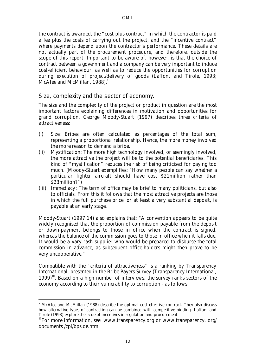the contract is awarded, the "cost-plus contract" in which the contractor is paid a fee plus the costs of carrying out the project, and the "incentive contract" where payments depend upon the contractor's performance. These details are not actually part of the procurement *procedure*, and therefore, outside the scope of this report. Important to be aware of, however, is that the choice of contract between a government and a company can be very important to induce cost-efficient behaviour, as well as to reduce the opportunities for corruption during execution of project/delivery of goods (Laffont and Tirole, 1993; McAfee and McMillan, 1988).<sup>9</sup>

#### *Size, complexity and the sector of economy.*

The size and the complexity of the project or product in question are the most important factors explaining differences in motivation and opportunities for grand corruption. George Moody-Stuart (1997) describes three *criteria of attractiveness*:

- (i) *Size*: Bribes are often calculated as percentages of the total sum, representing a proportional relationship. Hence, the more money involved the more reason to demand a bribe.
- (ii) *Mystification*: The more high technology involved, or seemingly involved, the more attractive the project will be to the potential beneficiaries. This kind of "mystification" reduces the risk of being criticised for paying too much. (Moody-Stuart exemplifies: "*How many people can say whether a particular fighter aircraft should have cost \$21million rather than \$23million?*")
- (iii) *Immediacy*: The term of office may be brief to many politicians, but also to officials. From this it follows that the most attractive projects are those in which the full purchase price, or at least a very substantial deposit, is payable at an early stage.

Moody-Stuart (1997:14) also explains that: "*A convention appears to be quite widely recognised that the proportion of commission payable from the deposit or down-payment belongs to those in office when the contract is signed, whereas the balance of the commission goes to those in office when it falls due. It would be a vary rash supplier who would be prepared to disburse the total commission in advance, as subsequent office-holders might then prove to be very uncooperative.*"

Compatible with the "criteria of attractiveness" is a ranking by Transparency International, presented in the Bribe Payers Survey (Transparency International,  $1999)$ <sup>10</sup>. Based on a high number of interviews, the survey ranks sectors of the economy according to their vulnerability to corruption - as follows:

<sup>&</sup>lt;sup>9</sup> McAfee and McMillan (1988) describe the optimal cost-effective contract. They also discuss how alternative types of contracting can be combined with competitive bidding. Laffont and Tirole (1993) explore the issue of incentives in regulation and procurement.

 $10$ For more information, see: www.transparency.org or www.transparency.org/ documents /cpi/bps.de.html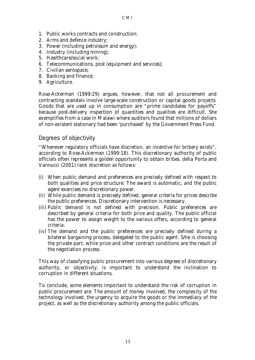- 1. Public works contracts and construction;
- 2. Arms and defence industry;
- 3. Power (including petroleum and energy);
- 4. Industry (including mining);
- 5. Healthcare/social work;
- 6. Telecommunications, post (equipment and services);
- 7. Civilian aerospace;
- 8. Banking and finance;
- 9. Agriculture.

Rose-Ackerman (1999:29) argues, however, that not all procurement and contracting scandals involve large-scale construction or capital goods projects. Goods that are used up in consumption are "prime candidates for payoffs" because post-delivery inspection of quantities and qualities are difficult. She exemplifies from a case in Malawi where auditors found that millions of dollars of non-existent stationary had been 'purchased' by the Government Press Fund.

#### *Degrees of objectivity*

*"Whenever regulatory officials have discretion, an incentive for bribery exists*", according to Rose-Ackerman (1999:18). This discretionary authority of public officials often represents a golden opportunity to obtain bribes. della Porta and Vannucci (2001) rank discretion as follows:

- (i) When public demand and preferences are precisely defined with respect to both qualities and price structure. The award is automatic, and the public agent exercises no discretionary power.
- (ii) While public demand is precisely defined, general criteria for prices describe the public preferences. Discretionary intervention is necessary.
- (iii) Public demand is not defined with precision. Public preferences are described by general criteria for both price and quality. The public official has the power to assign weight to the various offers, according to general criteria.
- (iv) The demand and the public preferences are precisely defined during a bilateral bargaining process, delegated to the public agent. S/he is choosing the private part, while price and other contract conditions are the result of the negotiation process.

This way of classifying public procurement into various degrees of discretionary authority, or objectivity, is important to understand the inclination to corruption in different situations.

To conclude, some elements important to understand the risk of corruption in public procurement are: The *amount of money* involved, the *complexity* of the technology involved, the urgency to acquire the goods or the *immediacy* of the project, as well as the *discretionary authority* among the public officials.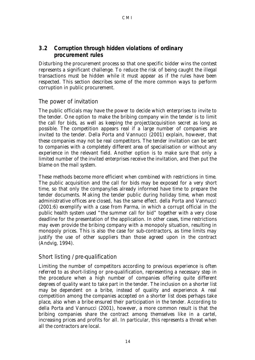#### **3.2 Corruption through hidden violations of ordinary procurement rules**

Disturbing the procurement process so that one specific bidder wins the contest represents a significant challenge. To reduce the risk of being caught the illegal transactions must be hidden while it must appear as if the rules have been respected. This section describes some of the more common ways to perform corruption in public procurement.

#### *The power of invitation*

The public officials may have the power to decide which enterprises to invite to the tender. One option to make the bribing company win the tender is to limit the call for bids, as well as keeping the project/acquisition secret as long as possible. The competition appears real if a large number of companies are invited to the tender. Della Porta and Vannucci (2001) explain, however, that these companies may not be real competitors. The tender invitation can be sent to companies with a completely different area of specialisation or without any experience in the relevant field. Another option is to make sure that only a limited number of the invited enterprises receive the invitation, and then put the blame on the mail system.

These methods become more efficient when combined with restrictions in time. The public acquisition and the call for bids may be exposed for a very short time, so that only the company/ies already informed have time to prepare the tender documents. Making the tender public during holiday time, when most administrative offices are closed, has the same effect. della Porta and Vannucci (2001:6) exemplify with a case from Parma, in which a corrupt official in the public health system used "the summer call for bid" together with a very close deadline for the presentation of the application. In other cases, time restrictions may even provide the bribing company with a monopoly situation, resulting in monopoly prices. This is also the case for sub-contractors, as time limits may justify the use of other suppliers than those agreed upon in the contract (Andvig, 1994).

#### *Short listing /pre-qualification*

Limiting the number of competitors according to previous experience is often referred to as *short-listing* or *pre-qualification*, representing a necessary step in the procedure when a high number of companies offering quite different degrees of quality want to take part in the tender. The inclusion on a shorter list may be dependent on a bribe, instead of quality and experience. A real competition among the companies accepted on a shorter list does perhaps take place, also when a bribe ensured their participation in the tender. According to della Porta and Vannucci (2001), however, a more common result is that the bribing companies share the contract among themselves like in a cartel, increasing prices and profits for all. In particular, this represents a threat when all the contractors are local.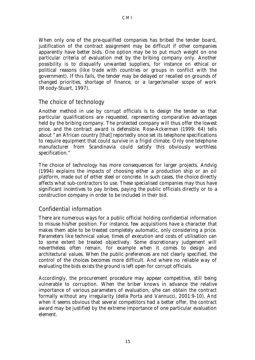When only one of the pre-qualified companies has bribed the tender board, justification of the contract assignment may be difficult if other companies apparently have better bids. One option may be to put much weight on one particular criteria of evaluation met by the bribing company only. Another possibility is to disqualify unwanted suppliers, for instance on ethical or political reasons (like trade with countries or groups in conflict with the government). If this fails, the tender may be delayed or recalled on grounds of changed priorities, shortage of finance, or a larger/smaller scope of work (Moody-Stuart, 1997).

#### *The choice of technology*

Another method in use by corrupt officials is to design the tender so that particular qualifications are requested, representing comparative advantages held by the bribing company. The protected company will thus offer the lowest price, and the contract award is defensible. Rose-Ackerman (1999: 64) tells about "*an African country* [that] *reportedly once set its telephone specifications to require equipment that could survive in a frigid climate. Only one telephone manufacturer from Scandinavia could satisfy this obviously worthless specification.*"

The choice of technology has more consequences for larger projects. Andvig (1994) explains the impacts of choosing either a production ship or an oil platform, made out of either steel or concrete. In such cases, the choice directly affects what sub-contractors to use. These specialised companies may thus have significant incentives to pay bribes, paying the public officials directly or to a construction company in order to be included in their bid.

#### *Confidential information*

There are numerous ways for a public official holding confidential information to misuse his/her position. For instance, few acquisitions have a character that makes them able to be treated completely automatic, only considering a price. Parameters like technical value, times of execution and costs of utilisation can to some extent be treated objectively. Some discretionary judgement will nevertheless often remain, for example when it comes to design and architectural values. When the public preferences are not clearly specified, the control of the choices becomes more difficult. And where no reliable way of evaluating the bids exists the ground is left open for corrupt officials.

Accordingly, the procurement procedure may appear competitive, still being vulnerable to corruption. When the briber knows in advance the relative importance of various parameters of evaluation, s/he can obtain the contract formally without any irregularity (della Porta and Vannucci, 2001:9-10). And when it seems obvious that several competitors had a better offer, the contract award may be justified by the extreme importance of one particular evaluation element.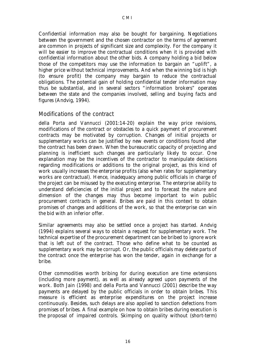Confidential information may also be bought for bargaining. Negotiations between the government and the chosen contractor on the terms of agreement are common in projects of significant size and complexity. For the company it will be easier to improve the contractual conditions when it is provided with confidential information about the other bids. A company holding a bid below those of the competitors may use the information to bargain an "uplift", a higher price without technical improvements. And when the winning bid is high (to ensure profit) the company may bargain to reduce the contractual obligations. The potential gain of holding confidential tender information may thus be substantial, and in several sectors "information brokers" operates between the state and the companies involved, selling and buying facts and figures (Andvig, 1994).

#### *Modifications of the contract*

della Porta and Vannucci (2001:14-20) explain the way price revisions, modifications of the contract or obstacles to a quick payment of procurement contracts may be motivated by corruption. Changes of initial projects or supplementary works can be justified by new events or conditions found after the contract has been drawn. When the bureaucratic capacity of projecting and planning is inefficient such changes are particularly likely to occur. One explanation may be the incentives of the contractor to manipulate decisions regarding modifications or additions to the original project, as this kind of work usually increases the enterprise profits (also when rates for supplementary works are contractual). Hence, inadequacy among public officials in charge of the project can be misused by the executing enterprise. The enterprise ability to understand deficiencies of the initial project and to forecast the nature and dimension of the changes may thus become important to win public procurement contracts in general. Bribes are paid in this context to obtain promises of changes and additions of the work, so that the enterprise can win the bid with an inferior offer.

Similar agreements may also be settled once a project has started. Andvig (1994) explains several ways to obtain a request for supplementary work. The technical expertise of the procurement department can be bribed to ignore work that is left out of the contract. Those who define what to be counted as supplementary work may be corrupt. Or, the public officials may delete parts of the contract once the enterprise has won the tender, again in exchange for a bribe.

Other commodities worth bribing for during execution are time extensions (including more payment), as well as already agreed upon payments of the work. Both Jain (1998) and della Porta and Vannucci (2001) describe the way payments are delayed by the public officials in order to obtain bribes. This measure is efficient as enterprise expenditures on the project increase continuously. Besides, such delays are also applied to sanction defections from promises of bribes. A final example on how to obtain bribes during execution is the proposal of *impaired controls*. Skimping on quality without (short-term)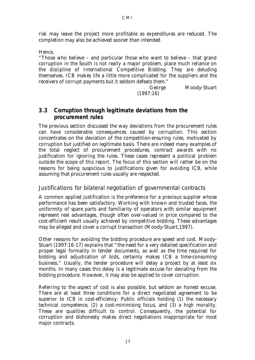risk may leave the project more profitable as expenditures are reduced. The completion may also be achieved sooner than intended.

Hence,

*"Those who believe – and particular those who want to believe – that grand corruption in the South is not really a major problem, place much reliance on the discipline of International Competitive Bidding. They are deluding themselves. ICB makes life a little more complicated for the suppliers and the receivers of corrupt payments but it seldom defeats them."*

George Moody-Stuart

(1997:16)

#### **3.3 Corruption through legitimate deviations from the procurement rules**

The previous section discussed the way deviations from the procurement rules can have considerable consequences caused by corruption. This section concentrates on the *deviation* of the competition-ensuring rules, motivated by corruption *but* justified on legitimate basis. There are indeed many examples of the total neglect of procurement procedures, contract awards with no justification for ignoring the rules. These cases represent a political problem outside the scope of this report. The focus of this section will rather be on the reasons for being suspicious to justifications given for avoiding ICB, while assuming that procurement rules usually are respected.

#### *Justifications for bilateral negotiation of governmental contracts*

A common applied justification is the preference for a previous supplier whose performance has been satisfactory. Working with known and trusted faces, the uniformity of spare parts and familiarity of operators with similar equipment represent real advantages, though often over-valued in price compared to the cost-efficient result usually achieved by competitive bidding. These advantages may be alleged and cover a corrupt transaction (Moody-Stuart,1997).

Other reasons for avoiding the bidding procedure are speed and cost. Moody-Stuart (1997:16-17) explains that "*the need for a very detailed specification and proper legal formality in tender documents, as well as the time required for bidding and adjudication of bids, certainly makes ICB a time-consuming business.*" Usually, the tender procedure will delay a project by at least six months. In many cases this delay is a legitimate excuse for deviating from the bidding procedure. However, it may also be applied to cover corruption.

Referring to the aspect of cost is also possible, but seldom an honest excuse. There are at least three conditions for a direct negotiated agreement to be superior to ICB in cost-efficiency: Public officials holding (1) the necessary technical competence, (2) a cost-minimising focus, and (3) a high morality. These are qualities difficult to control. Consequently, the potential for corruption and dishonesty makes direct negotiations inappropriate for most major contracts.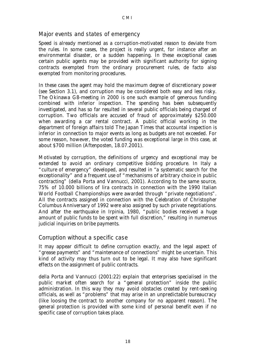#### *Major events and states of emergency*

Speed is already mentioned as a corruption-motivated reason to deviate from the rules. In some cases, the project is really urgent, for instance after an environmental disaster, or a sudden happening. In these exceptional cases certain public agents may be provided with significant authority for signing contracts exempted from the ordinary procurement rules, *de facto* also exempted from monitoring procedures.

In these cases the agent may hold the maximum degree of discretionary power (see Section 3.1), and corruption may be considered both easy and less risky. The Okinawa G8-meeting in 2000 is one such example of generous funding combined with inferior inspection. The spending has been subsequently investigated, and has so far resulted in several public officials being charged of corruption. Two officials are accused of fraud of approximately \$250.000 when awarding a car rental contract. A public official working in the department of foreign affairs told *The Japan Times* that accountal inspection is inferior in connection to major events as long as budgets are not exceeded. For some reason, however, the voted funding was exceptional large in this case, at about \$700 million (*Aftenposten*, 18.07.2001).

Motivated by corruption, the definitions of *urgency* and *exceptional* may be extended to avoid an ordinary competitive bidding procedure. In Italy a "culture of emergency" developed, and resulted in "*a systematic search for the exceptionality*" and a frequent use of "*mechanisms of arbitrary choice in public contracting*" (della Porta and Vannucci, 2001). According to the same source, 75% of 10.000 billions of lira contracts in connection with the 1990 Italian World Football Championships were awarded through "private negotiations". All the contracts assigned in connection with the Celebration of Christopher Columbus Anniversary of 1992 were also assigned by such private negotiations. And after the earthquake in Irpinia, 1980, "*public bodies received a huge amount of public funds to be spent with full discretion*," resulting in numerous judicial inquiries on bribe payments.

#### *Corruption without a specific case*

It may appear difficult to define corruption exactly, and the legal aspect of "grease payments" and "maintenance of connections" might be uncertain. This kind of activity may thus turn out to be legal. It may also have significant effects on the assignment of public contracts.

della Porta and Vannucci (2001:22) explain that enterprises specialised in the public market often search for a "general protection" inside the public administration. In this way they may avoid obstacles created by rent-seeking officials, as well as "problems" that may arise in an unpredictable bureaucracy (like loosing the contract to another company for no apparent reason). The *general protection* is provided with some kind of personal benefit even if no specific case of corruption takes place.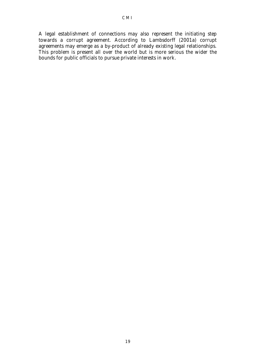A legal establishment of connections may also represent the initiating step towards a corrupt agreement. According to Lambsdorff (2001a) corrupt agreements may emerge as a by-product of already existing legal relationships. This problem is present all over the world but is more serious the wider the bounds for public officials to pursue private interests in work.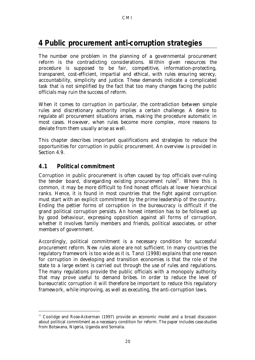# **4 Public procurement anti-corruption strategies**

The number one problem in the planning of a governmental procurement reform is the contradicting considerations. Within given resources the procedure is supposed to be fair, competitive, information-protecting, transparent, cost-efficient, impartial and ethical, with rules ensuring secrecy, accountability, simplicity and justice. These demands indicate a complicated task that is not simplified by the fact that too many changes facing the public officials may ruin the success of reform.

When it comes to corruption in particular, the contradiction between simple rules and discretionary authority implies a certain challenge. A desire to regulate all procurement situations arises, making the procedure automatic in most cases. However, when rules become more complex, more reasons to deviate from them usually arise as well.

This chapter describes important qualifications and strategies to reduce the opportunities for corruption in public procurement. An overview is provided in Section 4.9.

#### **4.1 Political commitment**

 $\overline{a}$ 

Corruption in public procurement is often caused by top officials over-ruling the tender board, disregarding existing procurement rules<sup>11</sup>. Where this is common, it may be more difficult to find honest officials at lower hierarchical ranks. Hence, it is found in most countries that the fight against corruption must start with an explicit commitment by the prime leadership of the country. Ending the pettier forms of corruption in the bureaucracy is difficult if the grand political corruption persists. An honest intention has to be followed up by good behaviour, expressing opposition against all forms of corruption, whether it involves family members and friends, political associates, or other members of government.

Accordingly, political commitment is a necessary condition for successful procurement reform. New rules alone are not sufficient. In many countries the regulatory framework is too wide as it is. Tanzi (1998) explains that one reason for corruption in developing and transition economies is that the role of the state to a large extent is carried out through the use of rules and regulations. The many regulations provide the public officials with a monopoly authority that may prove useful to demand bribes. In order to reduce the level of bureaucratic corruption it will therefore be important to reduce this regulatory framework, while improving, as well as executing, the anti-corruption laws.

 $11$  Coolidge and Rose-Ackerman (1997) provide an economic model and a broad discussion about political commitment as a necessary condition for reform. The paper includes case-studies from Botswana, Nigeria, Uganda and Somalia.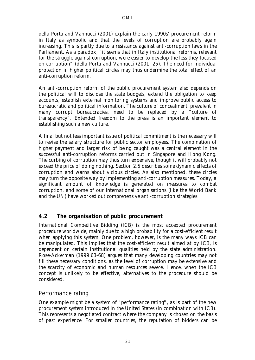della Porta and Vannucci (2001) explain the early 1990s' procurement reform in Italy as symbolic and that the levels of corruption are probably again increasing. This is partly due to a resistance against anti-corruption laws in the Parliament. As a paradox, "*it seems that in Italy institutional reforms, relevant for the struggle against corruption, were easier to develop the less they focused on corruption*" (della Porta and Vannucci (2001: 25). The need for individual protection in higher political circles may thus undermine the total effect of an anti-corruption reform.

An anti-corruption reform of the public procurement system also depends on the political will to disclose the state budgets, extend the obligation to keep accounts, establish external monitoring systems and improve public access to bureaucratic and political information. The culture of concealment, prevalent in many corrupt bureaucracies, need to be replaced by a "culture of transparency". Extended freedom to the press is an important element to establishing such a new culture.

A final but not less important issue of political commitment is the necessary will to revise the salary structure for public sector employees. The combination of higher payment and larger risk of being caught was a central element in the successful anti-corruption reforms carried out in Singapore and Hong Kong. The curbing of corruption may thus turn expensive, though it will probably not exceed the price of doing nothing. Section 2.5 describes some dynamic effects of corruption and warns about vicious circles. As also mentioned, these circles may turn the opposite way by implementing anti-corruption measures. Today, a significant amount of knowledge is generated on measures to combat corruption, and some of our international organisations (like the World Bank and the UN) have worked out comprehensive anti-corruption strategies.

#### **4.2 The organisation of public procurement**

International Competitive Bidding (ICB) is the most accepted procurement procedure worldwide, mainly due to a high probability for a cost-efficient result when applying this system. One problem, however, is the many ways ICB can be manipulated. This implies that the cost-efficient result aimed at by ICB, is dependent on certain institutional qualities held by the state administration. Rose-Ackerman (1999:63-68) argues that many developing countries may not fill these necessary conditions, as the level of corruption may be extensive and the scarcity of economic and human resources severe. Hence, when the ICB concept is unlikely to be effective, alternatives to the procedure should be considered.

#### *Performance rating*

One example might be a system of "*performance rating*", as is part of the new procurement system introduced in the United States (in combination with ICB). This represents a negotiated contract where the company is chosen on the basis of past experience. For smaller countries, the reputation of bidders can be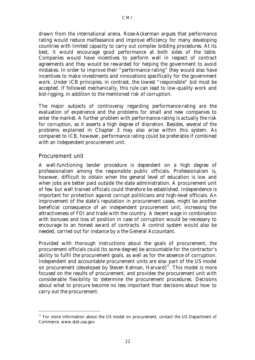drawn from the international arena. Rose-Ackerman argues that performance rating would reduce malfeasance and improve efficiency for many developing countries with limited capacity to carry out complex bidding procedures. At its best, it would encourage good performance at both sides of the table. Companies would have incentives to perform well in respect of contract agreements and they would be rewarded for helping the government to avoid mistakes. In order to improve their "performance rating" they would also have incentives to make investments and innovations specifically for the government work. Under ICB principles, in contrast, the lowest "responsible" bid must be accepted. If followed mechanically, this rule can lead to low-quality work and bid-rigging, in addition to the mentioned risk of corruption.

The major subjects of controversy regarding performance-rating are the evaluation of experience and the problems for small and new companies to enter the market. A further problem with performance-rating is actually the risk for corruption, as it asserts a high degree of discretion. Besides, several of the problems explained in Chapter 3 may also arise within this system. As compared to ICB, however, performance rating could be preferable if combined with an *independent procurement unit*.

#### *Procurement unit*

 $\overline{a}$ 

A well-functioning tender procedure is dependent on a high degree of professionalism among the responsible public officials. Professionalism is, however, difficult to obtain when the general level of education is low and when jobs are better paid outside the state administration. A procurement unit of few but well trained officials could therefore be established. Independence is important for protection against corrupt politicians and high-level officials. An improvement of the state's reputation in procurement cases, might be another beneficial consequence of an independent procurement unit, increasing the attractiveness of FDI and trade with the country. A decent wage in combination with bonuses and loss of position in case of corruption would be necessary to encourage to an honest award of contracts. A control system would also be needed, carried out for instance by a the General Accountant.

Provided with thorough instructions about the goals of procurement, the procurement officials could (to some degree) be accountable for the contractor's ability to fulfil the procurement goals, as well as for the absence of corruption. Independent and accountable procurement units are also part of the US model on procurement (developed by Steven Kelman, Harvard)<sup>12</sup>. This model is more focused on the *results* of procurement, and provides the procurement unit with considerable flexibility to determine the procurement procedures. Decisions about *what* to procure become no less important than decisions about *how* to carry out the procurement.

<sup>&</sup>lt;sup>12</sup> For more information about the US model on procurement, contact the US Department of Commerce. www.stat-usa.gov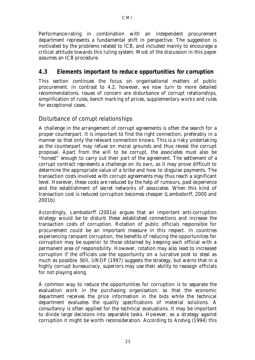Performance-rating in combination with an independent procurement department represents a fundamental shift in perspective. The suggestion is motivated by the problems related to ICB, and included mainly to encourage a critical attitude towards this ruling system. Most of the discussion in this paper assumes an ICB procedure.

#### **4.3 Elements important to reduce opportunities for corruption**

This section continues the focus on organisational matters of public procurement. In contrast to 4.2, however, we now turn to more detailed recommendations. Issues of concern are disturbance of corrupt relationships, simplification of rules, bench marking of prices, supplementary works and rules for exceptional cases.

#### *Disturbance of corrupt relationships*

A challenge in the arrangement of corrupt agreements is often the search for a proper counterpart. It is important to find the right connection, preferably in a manner so that only the relevant connection knows. This is a risky undertaking as the counterpart may refuse on moral grounds and thus reveal the corrupt proposal. Apart from the will to be corrupt, the associates must also be "honest" enough to carry out their part of the agreement. The settlement of a corrupt contract represents a challenge on its own, as it may prove difficult to determine the appropriate value of a bribe and how to disguise payments. The transaction costs involved with corrupt agreements may thus reach a significant level. However, these costs are reduced by the help of rumours, past experience and the establishment of secret networks of associates. When this kind of transaction cost is reduced corruption becomes cheaper (Lambsdorff, 2000 and 2001b).

Accordingly, Lambsdorff (2001a) argues that an important anti-corruption strategy would be to disturb these established connections and increase the transaction costs of corruption. *Rotation of public officials* responsible for procurement could be an important measure in this respect. In countries experiencing rampant corruption, the benefits of reducing the opportunities for corruption may be superior to those obtained by keeping each official with a permanent area of responsibility. However, rotation may also lead to increased corruption if the officials use the opportunity on a lucrative post to steal as much as possible. Still, UNDP (1997) suggests the strategy, but warns that in a highly corrupt bureaucracy, superiors may use their ability to reassign officials for not playing along.

A common way to reduce the opportunities for corruption is to separate the evaluation work in the purchasing organisation, so that the economic department receives the price information in the bids while the technical department evaluates the quality specifications of material solutions. A consultancy is often applied for the technical evaluations. It may be important to divide large decisions into separable tasks. However, as a strategy against corruption it might be worth reconsideration. According to Andvig (1994) this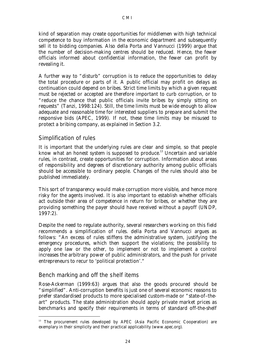kind of separation may create opportunities for middlemen with high technical competence to buy information in the economic department and subsequently sell it to bidding companies. Also della Porta and Vannucci (1999) argue that the number of decision-making centres should be reduced. Hence, the fewer officials informed about confidential information, the fewer can profit by revealing it.

A further way to "disturb" corruption is to reduce the opportunities to *delay* the total procedure or parts of it. A public official may profit on delays as continuation could depend on bribes. Strict time limits by which a given request must be rejected or accepted are therefore important to curb corruption, or to "*reduce the chance that public officials invite bribes by simply sitting on requests*" (Tanzi, 1998:124). Still, the time limits must be wide enough to allow adequate and reasonable time for interested suppliers to prepare and submit the responsive bids (APEC, 1999). If not, these time limits may be misused to protect a bribing company, as explained in Section 3.2.

#### *Simplification of rules*

It is important that the underlying rules are clear and simple, so that people know what an honest system is supposed to produce.<sup>13</sup> Uncertain and variable rules, in contrast, create opportunities for corruption. Information about areas of responsibility and degrees of discretionary authority among public officials should be accessible to ordinary people. Changes of the rules should also be published immediately.

This sort of transparency would make corruption more visible, and hence more risky for the agents involved. It is also important to establish whether officials act outside their area of competence in return for bribes, or whether they are providing something the payer should have received without a payoff (UNDP, 1997:2).

Despite the need to regulate authority, several researchers working on this field recommends a simplification of rules. della Porta and Vannucci argues as follows: "*An excess of rules stiffens the administrative system, justifying the emergency procedures, which then support the violations; the possibility to apply one law or the other, to implement or not to implement a control increases the arbitrary power of public administrators, and the push for private entrepreneurs to recur to 'political protection'*."

#### *Bench marking and off the shelf items*

Rose-Ackerman (1999:63) argues that also the goods procured should be "simplified". Anti-corruption benefits is just one of several economic reasons to prefer standardised products to more specialised custom-made or "state-of–theart" products. The state administration should apply private market prices as benchmarks and specify their requirements in terms of standard off-the-shelf

 $\overline{a}$ <sup>13</sup> The procurement rules developed by APEC (Asia Pacific Economic Cooperation) are exemplary in their simplicity and their practical applicability (www.apec.org).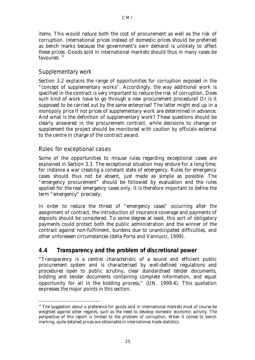items. This would reduce both the cost of procurement as well as the risk of corruption. International prices instead of domestic prices should be preferred as bench marks because the government's own demand is unlikely to affect these prices. Goods sold in international markets should thus in many cases be  $favoured$ <sup>14</sup>

#### *Supplementary work*

Section 3.2 explains the range of opportunities for corruption exposed in the "concept of supplementary works". Accordingly, the way additional work is specified in the contract is very important to reduce the risk of corruption. Does such kind of work have to go through a new procurement procedure? Or is it supposed to be carried out by the same enterprise? The latter might end up in a monopoly price if not prices of supplementary work are determined in advance. And what is the definition of supplementary work? These questions should be clearly answered in the procurement contract, while decisions to change or supplement the project should be monitored with caution by officials external to the centre in charge of the contract award.

#### *Rules for exceptional cases*

 $\overline{a}$ 

Some of the opportunities to misuse rules regarding exceptional cases are explained in Section 3.3. The exceptional situation may endure for a long time, for instance a war creating a constant state of emergency. Rules for emergency cases should thus not be absent, just made as simple as possible. The "emergency procurement" should be followed by evaluation and the rules applied for the real emergency cases only. It is therefore important to define the term "emergency" precisely.

In order to reduce the threat of "emergency cases" occurring after the assignment of contract, the introduction of insurance coverage and payments of deposits should be considered. To some degree at least, this sort of obligatory payments could protect both the public administration and the winner of the contract against non-fulfilment, burdens due to unanticipated difficulties, and other unforeseen circumstances (della Porta and Vannucci, 1999).

#### **4.4 Transparency and the problem of discretional power**

"*Transparency is a central characteristic of a sound and efficient public procurement system and is characterised by well-defined regulations and procedures open to public scrutiny, clear standardised tender documents, bidding and tender documents containing complete information, and equal opportunity for all in the bidding process*," (UN, 1999:4). This quotation expresses the major points in this section.

<sup>&</sup>lt;sup>14</sup> The suggestion about a preference for goods sold in international markets must of course be weighted against other regards, such as the need to develop domestic economic activity. The perspective of this report is limited to the problem of corruption. When it comes to bench marking, quite detailed prices are obtainable in international trade statistics.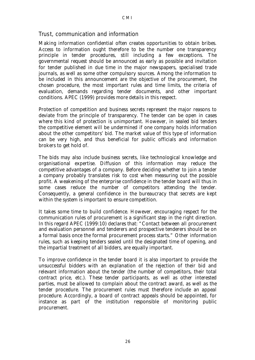#### *Trust, communication and information*

Making information confidential often creates opportunities to obtain bribes. Access to information ought therefore to be the number one transparency principle in tender procedures, still including a few exceptions. The governmental request should be announced as early as possible and invitation for tender published in due time in the major newspapers, specialised trade journals, as well as some other compulsory sources. Among the information to be included in this announcement are the objective of the procurement, the chosen procedure, the most important rules and time limits, the criteria of evaluation, demands regarding tender documents, and other important conditions. APEC (1999) provides more details in this respect.

Protection of competition and business secrets represent the major reasons to deviate from the principle of transparency. The tender can be open in cases where this kind of protection is unimportant. However, in sealed bid tenders the competitive element will be undermined if one company holds information about the other competitors' bid. The market value of this type of information can be very high, and thus beneficial for public officials and information brokers to get hold of.

The bids may also include business secrets, like technological knowledge and organisational expertise. Diffusion of this information may reduce the competitive advantages of a company. Before deciding whether to join a tender a company probably translates risk to cost when measuring out the possible profit. A weakening of the enterprise confidence in the tender board will thus in some cases reduce the number of competitors attending the tender. Consequently, a general confidence in the bureaucracy that secrets are kept within the system is important to ensure competition.

It takes some time to build confidence. However, encouraging respect for the communication rules of procurement is a significant step in the right direction. In this regard APEC (1999:10) declares that: "*Contact between all procurement and evaluation personnel and tenderers and prospective tenderers should be on a formal basis once the formal procurement process starts.*" Other information rules, such as keeping tenders sealed until the designated time of opening, and the impartial treatment of all bidders, are equally important.

To improve confidence in the tender board it is also important to provide the unsuccessful bidders with an explanation of the rejection of their bid and relevant information about the tender (the number of competitors, their total contract price, etc.). These tender participants, as well as other interested parties, must be allowed to complain about the contract award, as well as the tender procedure. The procurement rules must therefore include an *appeal procedure*. Accordingly, a *board of contract appeals* should be appointed, for instance as part of the institution responsible of monitoring public procurement.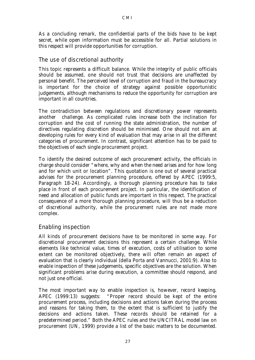As a concluding remark, the confidential parts of the bids have to be kept secret, while open information must be accessible for all. Partial solutions in this respect will provide opportunities for corruption.

 $C$  M<sub>I</sub>

#### *The use of discretional authority*

This topic represents a difficult balance. While the integrity of public officials should be assumed, one should not trust that decisions are unaffected by personal benefit. The perceived level of corruption and fraud in the bureaucracy is important for the choice of strategy against possible opportunistic judgements, although mechanisms to reduce the opportunity for corruption are important in all countries.

The contradiction between regulations and discretionary power represents another challenge. As complicated rules increase both the inclination for corruption and the cost of running the state administration, the number of directives regulating discretion should be minimised. One should not aim at developing rules for every kind of evaluation that may arise in all the different categories of procurement. In contrast, significant attention has to be paid to the *objectives* of each single procurement project.

To identify the desired outcome of each procurement activity, the officials in charge should consider "*where, why and when the need arises and for how long and for which unit or location*". This quotation is one out of several practical advises for the procurement planning procedure, offered by APEC (1999:5, Paragraph 18-24). Accordingly, a thorough planning procedure has to take place in front of each procurement project. In particular, the identification of *need* and allocation of public funds are important in this respect. The practical consequence of a more thorough planning procedure, will thus be a reduction of discretional authority, while the procurement rules are not made more complex.

#### *Enabling inspection*

All kinds of procurement decisions have to be monitored in some way. For discretional procurement decisions this represent a certain challenge. While elements like technical value, times of execution, costs of utilisation to some extent can be monitored objectively, there will often remain an aspect of evaluation that is clearly individual (della Porta and Vannucci, 2001:9). Also to enable inspection of these judgements, specific objectives are the solution. When significant problems arise during execution, a committee should respond, and not just one official.

The most important way to enable inspection is, however, record keeping. APEC (1999:13) suggests: "*Proper record should be kept of the entire procurement process, including decisions and actions taken during the process and reasons for taking them, to the extent that is sufficient to justify the decisions and actions taken. These records should be retained for a predetermined period.*" Both the APEC rules and the UNCITRAL model law on procurement (UN, 1999) provide a list of the basic matters to be documented.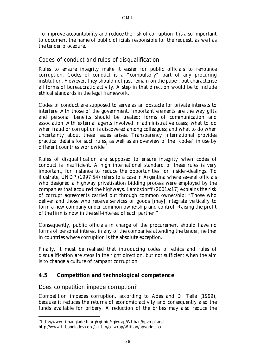To improve accountability and reduce the risk of corruption it is also important to document the name of public officials responsible for the request, as well as the tender procedure.

#### *Codes of conduct and rules of disqualification*

Rules to ensure integrity make it easier for public officials to renounce corruption. *Codes of conduct* is a "compulsory" part of any procuring institution. However, they should not just remain on the paper, but characterise all forms of bureaucratic activity. A step in that direction would be to include ethical standards in the *legal* framework.

Codes of conduct are supposed to serve as an obstacle for private interests to interfere with those of the government. Important elements are the way gifts and personal benefits should be treated; forms of communication and association with external agents involved in administrative cases; what to do when fraud or corruption is discovered among colleagues; and what to do when uncertainty about these issues arises. Transparency International provides practical details for such rules, as well as an overview of the "codes" in use by different countries worldwide<sup>15</sup>.

Rules of *disqualification* are supposed to ensure integrity when codes of conduct is insufficient. A high international standard of these rules is very important, for instance to reduce the opportunities for insider-dealings. To illustrate, UNDP (1997:54) refers to a case in Argentina where several officials who designed a highway privatisation bidding process were employed by the companies that acquired the highways. Lambsdorff (2001a:17) explains the risk of corrupt agreements carried out through common ownership: "*Those who deliver and those who receive services or goods* [may] *integrate vertically to form a new company under common ownership and control. Raising the profit of the firm is now in the self-interest of each partner*."

Consequently, public officials in charge of the procurement should have no forms of personal interest in any of the companies attending the tender, neither in countries where corruption is the absolute exception.

Finally, it must be realised that introducing codes of ethics and rules of disqualification are steps in the right direction, but not sufficient when the aim is to change a culture of rampant corruption.

### **4.5 Competition and technological competence**

#### *Does competition impede corruption?*

 $\overline{a}$ 

Competition impedes corruption, according to Ades and Di Tella (1999), because it reduces the returns of economic activity and consequently also the funds available for bribery. A reduction of the bribes may also reduce the

<sup>15</sup>http://www.ti-bangladesh.org/cgi-bin/cgiwrap/Wtiban/bpvo.pl and http://www.ti-bangladesh.org/cgi-bin/cgiwrap/Wtiban/bpvodocs.cgi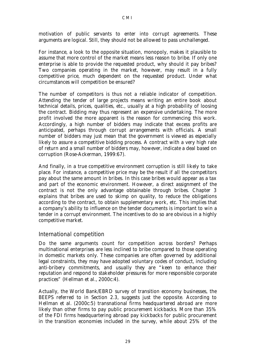motivation of public servants to enter into corrupt agreements. These arguments are logical. Still, they should not be allowed to pass unchallenged.

For instance, a look to the opposite situation, monopoly, makes it plausible to assume that more control of the market means less reason to bribe. If only one enterprise is able to provide the requested product, why should it pay bribes? Two companies operating in the market, however, may result in a fully competitive price, much dependent on the requested product. Under what circumstances will competition be ensured?

The number of competitors is thus not a reliable indicator of competition. Attending the tender of large projects means writing an entire book about technical details, prices, qualities, etc., usually at a high probability of loosing the contract. Bidding may thus represent an expensive undertaking. The more profit involved the more apparent is the reason for commencing this work. Accordingly, a high number of bidders may indicate that excess profits are anticipated, perhaps through corrupt arrangements with officials. A small number of bidders may just mean that the government is viewed as especially likely to assure a competitive bidding process. A contract with a very high rate of return and a small number of bidders may, however, indicate a deal based on corruption (Rose-Ackerman, 1999:67).

And finally, in a true competitive environment corruption is still likely to take place. For instance, a competitive price may be the result if all the competitors pay about the same amount in bribes. In this case bribes would appear as a tax and part of the economic environment. However, a direct assignment of the contract is not the only advantage obtainable through bribes. Chapter 3 explains that bribes are used to skimp on quality, to reduce the obligations according to the contract, to obtain supplementary work, etc. This implies that a company's ability to influence on the tender documents is important to win a tender in a corrupt environment. The incentives to do so are obvious in a highly competitive market.

#### *International competition*

Do the same arguments count for competition across borders? Perhaps multinational enterprises are less inclined to bribe compared to those operating in domestic markets only. These companies are often governed by additional legal constraints, they may have adopted voluntary codes of conduct, including anti-bribery commitments, and usually they are "*keen to enhance their reputation and respond to stakeholder pressures for more responsible corporate practices*" (Hellman et al., 2000c:4).

Actually, the World Bank/EBRD survey of transition economy businesses, the BEEPS referred to in Section 2.3, suggests just the opposite. According to Hellman et al. (2000c:5) transnational firms headquartered abroad are *more* likely than other firms to pay public procurement kickbacks*.* More than 35% of the FDI firms headquartering abroad pay kickbacks for public procurement in the transition economies included in the survey, while about 25% of the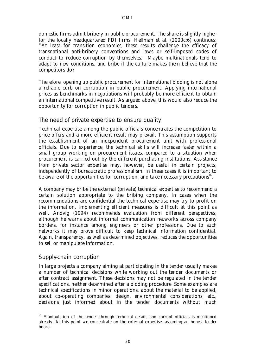domestic firms admit bribery in public procurement. The share is slightly higher for the locally headquartered FDI firms. Hellman et al. (2000c:6) continues: *"At least for transition economies, these results challenge the efficacy of transnational anti-bribery conventions and laws or self-imposed codes of conduct to reduce corruption by themselves."* Maybe multinationals tend to adapt to new conditions, and bribe if the culture makes them believe that the competitors do?

Therefore, opening up public procurement for international bidding is not alone a reliable curb on corruption in public procurement. Applying international prices as benchmarks in negotiations will probably be more efficient to obtain an international competitive result. As argued above, this would also reduce the opportunity for corruption in public tenders.

#### *The need of private expertise to ensure quality*

Technical expertise among the public officials concentrates the competition to price offers and a more efficient result may prevail. This assumption supports the establishment of an independent procurement unit with professional officials. Due to experience, the technical skills will increase faster within a small group working on procurement issues, compared to a situation when procurement is carried out by the different purchasing institutions. Assistance from private sector expertise may, however, be useful in certain projects, independently of bureaucratic professionalism. In these cases it is important to be aware of the opportunities for corruption, and take necessary precautions $16$ .

A company may bribe the external (private) technical expertise to recommend a certain solution appropriate to the bribing company. In cases when the recommendations are confidential the technical expertise may try to profit on the information. Implementing efficient measures is difficult at this point as well. Andvig (1994) recommends evaluation from different perspectives, although he warns about informal communication networks across company borders, for instance among engineers or other professions. Due to such networks it may prove difficult to keep technical information confidential. Again, transparency, as well as determined objectives, reduces the opportunities to sell or manipulate information.

#### *Supply-chain corruption*

 $\overline{a}$ 

In large projects a company aiming at participating in the tender usually makes a number of technical decisions while working out the tender documents or after contract assignment. These decisions may not be regulated in the tender specifications, neither determined after a bidding procedure. Some examples are technical specifications in minor operations, about the material to be applied, about co-operating companies, design, environmental considerations, etc., decisions just informed about in the tender documents without much

 $16$  Manipulation of the tender through technical details and corrupt officials is mentioned already. At this point we concentrate on the external expertise, assuming an honest tender board.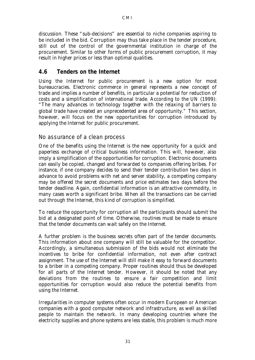discussion. These "sub-decisions" are essential to niche companies aspiring to be included in the bid. Corruption may thus take place in the tender procedure, still out of the control of the governmental institution in charge of the procurement. Similar to other forms of public procurement corruption, it may result in higher prices or less than optimal qualities.

#### **4.6 Tenders on the Internet**

Using the Internet for public procurement is a new option for most bureaucracies. Electronic commerce in general represents a new concept of trade and implies a number of benefits, in particular a potential for reduction of costs and a simplification of international trade. According to the UN (1999): *"The many advances in technology together with the relaxing of barriers to global trade have created an unprecedented area of opportunity."* This section, however, will focus on the new opportunities for corruption introduced by applying the Internet for public procurement.

#### *No assurance of a clean process*

One of the benefits using the Internet is the new opportunity for a quick and paperless exchange of critical business information. This will, however, also imply a simplification of the opportunities for corruption. Electronic documents can easily be copied, changed and forwarded to companies offering bribes. For instance, if one company decides to send their tender contribution two days in advance to avoid problems with net and server stability, a competing company may be offered the secret documents and price estimates two days before the tender deadline. Again, confidential information is an attractive commodity, in many cases worth a significant bribe. When all the transactions can be carried out through the Internet, this kind of corruption is simplified.

To reduce the opportunity for corruption all the participants should submit the bid at a designated point of time. Otherwise, routines must be made to ensure that the tender documents can wait safely on the Internet.

A further problem is the business secrets often part of the tender documents. This information about one company will still be valuable for the competitor. Accordingly, a simultaneous submission of the bids would not eliminate the incentives to bribe for confidential information, not even after contract assignment. The use of the Internet will still make it easy to forward documents to a briber in a competing company. Proper routines should thus be developed for all parts of the Internet tender. However, it should be noted that any deviations from the routines to ensure a fair competition and limit opportunities for corruption would also reduce the potential benefits from using the Internet.

Irregularities in computer systems often occur in modern European or American companies with a good computer network and infrastructure, as well as skilled people to maintain the network. In many developing countries where the electricity supplies and phone systems are less stable, this problem is much more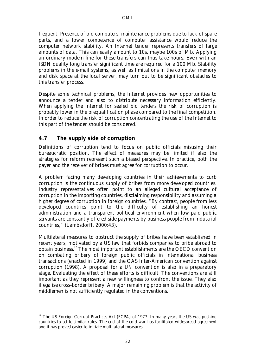frequent. Presence of old computers, maintenance problems due to lack of spare parts, and a lower competence of computer assistance would reduce the computer network stability. An Internet tender represents transfers of large amounts of data. This can easily amount to 10s, maybe 100s of Mb. Applying an ordinary modem line for these transfers can thus take hours. Even with an ISDN quality long transfer significant time are required for a 100 Mb. Stability problems in the e-mail systems, as well as limitations in the computer memory and disk space at the local server, may turn out to be significant obstacles to this transfer process.

Despite some technical problems, the Internet provides new opportunities to announce a tender and also to distribute necessary information efficiently. When applying the Internet for *sealed bid* tenders the risk of corruption is probably lower in the prequalification phase compared to the final competition. In order to reduce the risk of corruption concentrating the use of the Internet to this part of the tender should be considered.

#### **4.7 The supply side of corruption**

 $\overline{a}$ 

Definitions of corruption tend to focus on public officials misusing their bureaucratic position. The effect of measures may be limited if also the strategies for reform represent such a biased perspective. In practice, both the payer and the receiver of bribes must agree for corruption to occur.

A problem facing many developing countries in their achievements to curb corruption is the continuous supply of bribes from more developed countries. Industry representatives often point to an alleged cultural acceptance of corruption in the importing countries, disclaiming responsibility and assuming a higher degree of corruption in foreign countries. *"By contrast, people from less developed countries point to the difficulty of establishing an honest administration and a transparent political environment when low-paid public servants are constantly offered side payments by business people from industrial countries,"* (Lambsdorff, 2000:43).

Multilateral measures to obstruct the supply of bribes have been established in recent years, motivated by a US law that forbids companies to bribe abroad to obtain business.<sup>17</sup> The most important establishments are the OECD convention on combating bribery of foreign public officials in international business transactions (enacted in 1999) and the OAS Inter-American convention against corruption (1998). A proposal for a UN convention is also in a preparatory stage. Evaluating the effect of these efforts is difficult. The conventions are still important as they represent a new willingness to confront the issue. They also illegalise cross-border bribery. A major remaining problem is that the activity of *middlemen* is not sufficiently regulated in the conventions.

 $17$  The US Foreign Corrupt Practices Act (FCPA) of 1977. In many years the US was pushing countries to settle similar rules. The end of the cold war has facilitated widespread agreement and it has proved easier to initiate multilateral measures.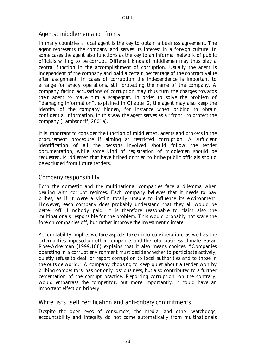#### *Agents, middlemen and "fronts"*

In many countries a local agent is the key to obtain a business agreement. The agent represents the company and serves its interest in a foreign culture. In some cases the agent also functions as the key to an informal network of public officials willing to be corrupt. Different kinds of middlemen may thus play a central function in the accomplishment of corruption. Usually the agent is independent of the company and paid a certain percentage of the contract value after assignment. In cases of corruption the independence is important to arrange for shady operations, still protecting the name of the company. A company facing accusations of corruption may thus turn the charges towards their agent to make him a scapegoat. In order to solve the problem of "damaging information", explained in Chapter 2, the agent may also keep the identity of the company hidden, for instance when bribing to obtain confidential information. In this way the agent serves as a "front" to protect the company (Lambsdorff, 2001a).

It is important to consider the function of middlemen, agents and brokers in the procurement procedure if aiming at restricted corruption. A sufficient identification of all the persons involved should follow the tender documentation, while some kind of registration of middlemen should be requested. Middlemen that have bribed or tried to bribe public officials should be excluded from future tenders.

#### *Company responsibility*

Both the domestic and the multinational companies face a dilemma when dealing with corrupt regimes. Each company believes that it needs to pay bribes, as if it were a victim totally unable to influence its environment. However, each company does probably understand that they all would be better off if nobody paid. It is therefore reasonable to claim also the multinationals responsible for the problem. This would probably not scare the foreign companies off, but rather improve the investment climate.

Accountability implies welfare aspects taken into consideration, as well as the externalities imposed on other companies and the total business climate. Susan Rose-Ackerman (1999:188) explains that it also means choices: "*Companies operating in a corrupt environment must decide whether to participate actively, quietly refuse to deal, or report corruption to local authorities and to those in the outside world."* A company choosing to keep quiet about a tender won by bribing competitors, has not only lost business, but also contributed to a further cementation of the corrupt practice. Reporting corruption, on the contrary, would embarrass the competitor, but more importantly, it could have an important effect on bribery.

#### *White lists, self certification and anti-bribery commitments*

Despite the open eyes of consumers, the media, and other watchdogs, accountability and integrity do not come automatically from multinationals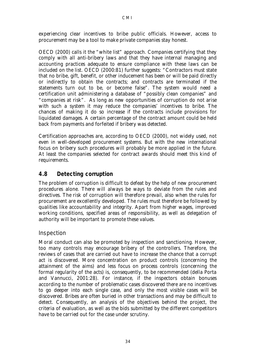experiencing clear incentives to bribe public officials. However, access to procurement may be a tool to make private companies stay honest.

OECD (2000) calls it the "white list" approach. Companies certifying that they comply with all anti-bribery laws and that they have internal managing and accounting practices adequate to ensure compliance with these laws can be included on the list. OECD (2000:81) further suggests: *"Contractors must state that no bribe, gift, benefit, or other inducement has been or will be paid directly or indirectly to obtain the contracts; and contracts are terminated if the statements turn out to be, or become false".* The system would need a certification unit administering a database of "possibly clean companies" and "companies at risk". As long as new opportunities of corruption do not arise with such a system it may reduce the companies' incentives to bribe. The chances of making it do so increase if the contracts include provisions for liquidated damages. A certain percentage of the contract amount could be held back from payments and forfeited if bribery was detected.

Certification approaches are, according to OECD (2000), not widely used, not even in well-developed procurement systems. But with the new international focus on bribery such procedures will probably be more applied in the future. At least the companies selected for contract awards should meet this kind of requirements.

#### **4.8 Detecting corruption**

The problem of corruption is difficult to defeat by the help of new procurement procedures alone. There will always be ways to deviate from the rules and directives. The risk of corruption will therefore prevail, also when the rules for procurement are excellently developed. The rules must therefore be followed by qualities like accountability and integrity. Apart from higher wages, improved working conditions, specified areas of responsibility, as well as delegation of authority will be important to promote these values.

#### *Inspection*

Moral conduct can also be promoted by inspection and sanctioning. However, too many controls may encourage bribery of the controllers. Therefore, the reviews of cases that are carried out have to increase the chance that a corrupt act is discovered. More concentration on *product controls* (concerning the attainment of the aims) and less focus on *process controls* (concerning the formal regularity of the acts) is, consequently, to be recommended (della Porta and Vannucci, 2001:28). For instance, if the inspectors obtain bonuses according to the number of problematic cases discovered there are no incentives to go deeper into each single case, and only the most visible cases will be discovered. Bribes are often buried in other transactions and may be difficult to detect. Consequently, an analysis of the objectives behind the project, the criteria of evaluation, as well as the bids submitted by the different competitors have to be carried out for the case under scrutiny.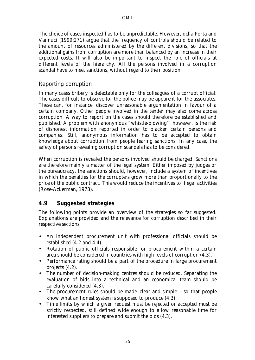$CMI$ 

The choice of cases inspected has to be unpredictable. However, della Porta and Vannuci (1999:271) argue that the frequency of controls should be related to the amount of resources administered by the different divisions, so that the additional gains from corruption are more than balanced by an increase in their expected costs. It will also be important to inspect the role of officials at different levels of the hierarchy. All the persons involved in a corruption scandal have to meet sanctions, without regard to their position.

#### *Reporting corruption*

In many cases bribery is detectable only for the colleagues of a corrupt official. The cases difficult to observe for the police may be apparent for the associates. These can, for instance, discover unreasonable argumentation in favour of a certain company. Other people involved in the tender may also come across corruption. A way to report on the cases should therefore be established and published. A problem with anonymous "whistle-blowing", however, is the risk of dishonest information reported in order to blacken certain persons and companies. Still, anonymous information has to be accepted to obtain knowledge about corruption from people fearing sanctions. In any case, the safety of persons revealing corruption scandals has to be considered.

When corruption is revealed the persons involved should be charged. Sanctions are therefore mainly a matter of the legal system. Either imposed by judges or the bureaucracy, the sanctions should, however, include a system of incentives in which the penalties for the corrupters grow more than proportionally to the price of the public contract. This would reduce the incentives to illegal activities (Rose-Ackerman, 1978).

## **4.9 Suggested strategies**

The following points provide an overview of the strategies so far suggested. Explanations are provided and the relevance for corruption described in their respective sections.

- An *independent procurement unit* with professional officials should be established (4.2 and 4.4).
- *Rotation of public officials* responsible for procurement within a certain area should be considered in countries with high levels of corruption (4.3).
- *Performance rating* should be a part of the procedure in large procurement projects (4.2).
- The number of *decision-making centres* should be reduced. Separating the evaluation of bids into a technical and an economical team should be carefully considered (4.3).
- The procurement rules should be made *clear and simple*  so that people know what an honest system is supposed to produce (4.3).
- *Time limits* by which a given request must be rejected or accepted must be strictly respected, still defined wide enough to allow reasonable time for interested suppliers to prepare and submit the bids (4.3).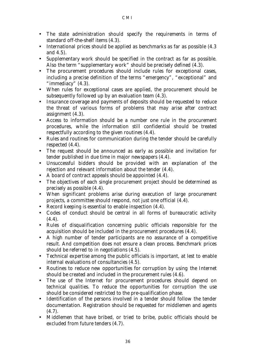- The state administration should specify the requirements in terms of *standard off-the-shelf items* (4.3).
- International prices should be applied as *benchmarks* as far as possible (4.3 and 4.5).
- *Supplementary work* should be specified in the contract as far as possible. Also the term "supplementary work" should be precisely defined (4.3).
- The procurement procedures should include rules for *exceptional cases*, including a precise definition of the terms "emergency", "exceptional" and "immediacy" (4.3).
- When rules for exceptional cases are applied, the procurement should be subsequently followed up by an *evaluation team* (4.3).
- *Insurance coverage* and payments of deposits should be requested to reduce the threat of various forms of problems that may arise after contract assignment (4.3).
- *Access to information* should be a number one rule in the procurement procedures, while the information still confidential should be treated respectfully according to the given routines (4.4).
- Rules and routines for *communication* during the tender should be carefully respected (4.4).
- The request should be *announced* as early as possible and invitation for tender published in due time in major newspapers (4.4).
- Unsuccessful bidders should be provided with an *explanation of the rejection* and relevant information about the tender (4.4).
- A *board of contract appeals* should be appointed (4.4).
- The *objectives* of each single procurement project should be determined as precisely as possible (4.4).
- When significant problems arise *during execution* of large procurement projects, a committee should respond, not just one official (4.4).
- *Record keeping* is essential to enable inspection (4.4).
- *Codes of conduct* should be central in all forms of bureaucratic activity  $(4.4).$
- *Rules of disqualification* concerning public officials responsible for the acquisition should be included in the procurement procedures (4.4).
- A high number of tender participants are no assurance of *a competitive result*. And competition does not ensure a clean process. Benchmark prices should be referred to in negotiations (4.5).
- *Technical expertise* among the public officials is important, at lest to enable internal evaluations of consultancies (4.5).
- Routines to reduce new opportunities for corruption by using *the Internet* should be created and included in the procurement rules (4.6).
- The use of the Internet for procurement procedures should depend on *technical qualities*. To reduce the opportunities for corruption the use should be considered restricted to the pre-qualification phase.
- *Identification* of the persons involved in a tender should follow the tender documentation. Registration should be requested for middlemen and agents  $(4.7).$
- Middlemen that have bribed, or tried to bribe, public officials should be excluded from future tenders (4.7).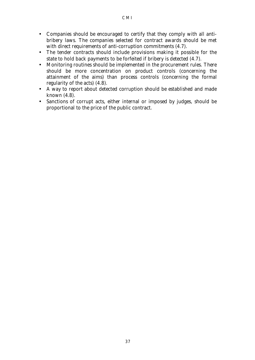- Companies should be encouraged to certify that they comply with all antibribery laws. The companies selected for contract awards should be met with direct requirements of *anti-corruption commitments* (4.7).
- The tender contracts should include provisions making it possible for the state to *hold back payments* to be forfeited if bribery is detected (4.7).
- *Monitoring routines* should be implemented in the procurement rules. There should be more concentration on *product controls* (concerning the attainment of the aims) than *process controls* (concerning the formal regularity of the acts) (4.8).
- A way to *report* about detected corruption should be established and made known (4.8).
- *Sanctions* of corrupt acts, either internal or imposed by judges, should be proportional to the price of the public contract.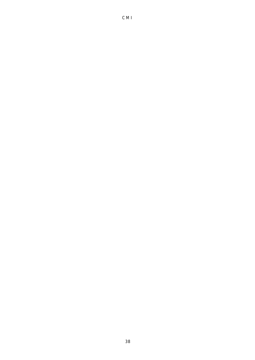CMI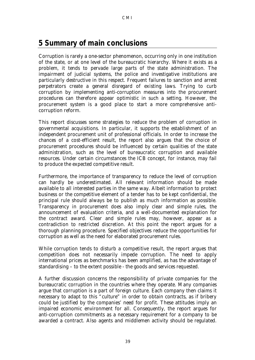# **5 Summary of main conclusions**

Corruption is rarely a one-sector phenomenon, occurring only in one institution of the state, or at one level of the bureaucratic hierarchy. Where it exists as a problem, it tends to pervade large parts of the state administration. The impairment of judicial systems, the police and investigative institutions are particularly destructive in this respect. Frequent failures to sanction and arrest perpetrators create a general disregard of existing laws. Trying to curb corruption by implementing anti-corruption measures into the procurement procedures can therefore appear optimistic in such a setting. However, the procurement system is a good place to start a more comprehensive anticorruption reform.

This report discusses some strategies to reduce the problem of corruption in governmental acquisitions. In particular, it supports the establishment of an independent procurement unit of professional officials. In order to increase the chances of a cost-efficient result, the report also argues that the choice of procurement procedures should be influenced by certain qualities of the state administration, such as the level of bureaucratic corruption and available resources. Under certain circumstances the ICB concept, for instance, may fail to produce the expected competitive result.

Furthermore, the importance of transparency to reduce the level of corruption can hardly be underestimated. All relevant information should be made available to all interested parties in the same way. Albeit information to protect business or the competitive element of a tender has to be kept confidential, the principal rule should always be to publish as much information as possible. Transparency in procurement does also imply clear and simple rules, the announcement of evaluation criteria, and a well-documented explanation for the contract award. Clear and simple rules may, however, appear as a contradiction to restricted discretion. At this point the report argues for a thorough planning procedure. Specified objectives reduce the opportunities for corruption as well as the need for elaborated procurement rules.

While corruption tends to disturb a competitive result, the report argues that competition does not necessarily impede corruption. The need to apply international prices as benchmarks has been amplified, as has the advantage of standardising – to the extent possible - the goods and services requested.

A further discussion concerns the responsibility of private companies for the bureaucratic corruption in the countries where they operate. Many companies argue that corruption is a part of foreign culture. Each company then claims it necessary to adapt to this "culture" in order to obtain contracts, as if bribery could be justified by the companies' need for profit. These attitudes imply an impaired economic environment for all. Consequently, the report argues for anti-corruption commitments as a necessary requirement for a company to be awarded a contract. Also agents and middlemen activity should be regulated.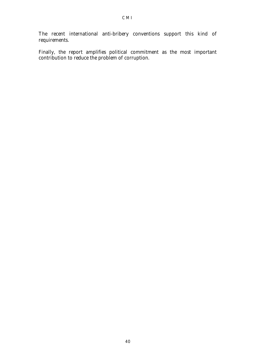The recent international anti-bribery conventions support this kind of requirements.

Finally, the report amplifies political commitment as the most important contribution to reduce the problem of corruption.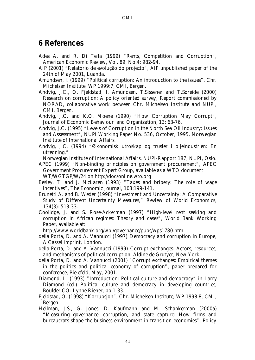### **6 References**

- Ades A. and R. Di Tella (1999) "Rents, Competition and Corruption"*, American Economic Review*, Vol. 89, No.4: 982-94.
- AIP (2001) "Relatório de evolução do projecto", AIP unpublished paper of the 24th of May 2001, Luanda.
- Amundsen, I. (1999) "Political corruption: An introduction to the issues", Chr. Michelsen Institute, WP 1999:7, CMI, Bergen.
- Andvig, J.C., O. Fjeldstad, I. Amundsen, T.Sissener and T.Søreide (2000) *Research on corruption: A policy oriented survey*, Report commissioned by NORAD, collaborative work between Chr. Michelsen Institute and NUPI, CMI, Bergen.
- Andvig, J.C. and K.O. Moene (1990) "How Corruption May Corrupt"*, Journal of Economic Behaviour and Organization*, 13: 63-76.
- Andvig, J.C. (1995) "Levels of Corruption in the North Sea Oil Industry: Issues and Assessment"*,* NUPI Working Paper No. 536, October, 1995, Norwegian Institute of International Affairs.
- Andvig, J.C. (1994) "Økonomisk utroskap og trusler i oljeindustrien: En utredning,"

Norwegian Institute of International Affairs, NUPI-Rapport 187, NUPI, Oslo.

- APEC (1999) "Non-binding principles on government procurement", APEC Government Procurement Expert Group, available as a WTO document WT/WGTGP/W/24 on http://docsonline.wto.org
- Besley, T. and J. McLaren (1993) "Taxes and bribery: The role of wage incentives", *The Economic Journal*, 103:199-141.
- Brunetti A. and B. Weder (1998) "Investment and Uncertainty: A Comparative Study of Different Uncertainty Measures," *Review of World Economics*, 134(3): 513-33.
- Coolidge, J. and S. Rose-Ackerman (1997) "High-level rent seeking and corruption in African regimes: Theory and cases", World Bank Working Paper, available at:

http://www.worldbank.org/wbi/governance/pubs/wps1780.htm

- della Porta, D. and A. Vannucci (1997) *Democracy and corruption in Europe*, A Cassel Imprint, London.
- della Porta, D. and A. Vannucci (1999) *Corrupt exchanges: Actors, resources, and mechanisms of political corruption*, Aldine de Grutyer, New York.
- della Porta, D. and A. Vannucci (2001) "Corrupt exchanges: Empirical themes in the politics and political economy of corruption", paper prepared for conference, Bielefeld, May, 2001.
- Diamond, L. (1993) "Introduction: Political culture and democracy" in Larry Diamond (ed.) *Political culture and democracy in developing countries,* Boulder CO: Lynne Riener, pp.1-33.
- Fjeldstad, O. (1998) "Korrupsjon", Chr. Michelsen Institute, WP 1998:8, CMI, Bergen.
- Hellman, J.S., G. Jones, D. Kaufmann and M. Schankerman (2000a) "Measuring governance, corruption, and state capture: How firms and bureaucrats shape the business environment in transition economies", Policy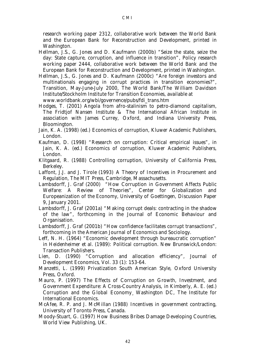research working paper 2312, collaborative work between the World Bank and the European Bank for Reconstruction and Development, printed in Washington.

- Hellman, J.S., G. Jones and D. Kaufmann (2000b) "Seize the state, seize the day: State capture, corruption, and influence in transition", Policy research working paper 2444, collaborative work between the World Bank and the European Bank for Reconstruction and Development, printed in Washington.
- Hellman, J.S., G. Jones and D. Kaufmann (2000c) "Are foreign investors and multinationals engaging in corrupt practices in transition economies?", Transition, May-June-July 2000, The World Bank/The William Davidson Institute/Stockholm Institute for Transition Economies, available at www.worldbank.org/wbi/governence/pubs/fdi\_trans.htm
- Hodges, T. (2001) *Angola from afro-stalinism to petro-diamond capitalism*, The Fridtjof Nansen Institute & The International African Institute in association with James Currey, Oxford, and Indiana University Press, Bloomington.
- Jain, K. A. (1998) (ed.) *Economics of corruption*, Kluwer Academic Publishers, London.
- Kaufman, D. (1998) "Research on corruption: Critical empirical issues", in Jain, K. A. (ed.) *Economics of corruption*, Kluwer Academic Publishers, London.
- Klitgaard, R. (1988) *Controlling corruption*, University of California Press, Berkeley.
- Laffont, J.J. and J. Tirole (1993) *A Theory of Incentives in Procurement and Regulation*, The MIT Press, Cambridge, Massachusetts.
- Lambsdorff, J. Graf (2000) "How Corruption in Government Affects Public Welfare: A Review of Theories", Center for Globalization and Europeanization of the Economy, University of Goettingen, Discussion Paper 9, January 2001.
- Lambsdorff, J. Graf (2001a) "Making corrupt deals: contracting in the shadow of the law", forthcoming in the *Journal of Economic Behaviour and Organisation.*
- Lambsdorff, J. Graf (2001b) "How confidence facilitates corrupt transactions", forthcoming in the *American Journal of Economics and Sociology*.
- Leff, N. H. (1964) "Economic development through bureaucratic corruption" in Heidenheimer et al. (1989): *Political corruption.* New Brunswick/London: Transaction Publishers.
- Lien, D. (1990) "Corruption and allocation efficiency", *Journal of Development Economics*, Vol. 33 (1): 153-64.
- Manzetti, L. (1999) *Privatization South American Style,* Oxford University Press, Oxford.
- Mauro, P. (1997) *The Effects of Corruption on Growth, Investment, and Government Expenditure: A Cross-Country Analysis,* in Kimberly, A. E. (ed.) *Corruption and the Global Economy*¸ Washington DC, The Institute for International Economics.
- McAfee, R. P. and J. McMillan (1988) *Incentives in government contracting,* University of Toronto Press, Canada.
- Moody-Stuart, G. (1997) *How Business Bribes Damage Developing Countries*, World View Publishing, UK.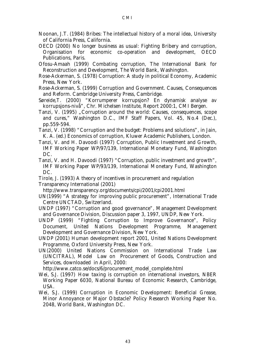- Noonan, J.T. (1984) *Bribes: The intellectual history of a moral idea*, University of California Press, California.
- OECD (2000) *No longer business as usual: Fighting Bribery and corruption,* Organisation for economic co-operation and development, OECD Publications, Paris.
- Ofosu-Amaah (1999) *Combating corruption*, The International Bank for Reconstruction and Development, The World Bank, Washington.
- Rose-Ackerman, S. (1978) *Corruption: A study in political Economy*, Academic Press, New York.
- Rose-Ackerman, S. (1999) *Corruption and Government. Causes, Consequences and Reform.* Cambridge University Press, Cambridge.
- Søreide,T. (2000) "Korrumperer korrupsjon? En dynamisk analyse av korrupsjons-nivå", Chr. Michelsen Institute, Report 2000:1, CMI Bergen.
- Tanzi, V. (1995) "Corruption around the world: Causes, consequences, scope and cures," Washington D.C., IMF Staff Papers, Vol. 45, No.4 (Dec.), pp.559-594.
- Tanzi, V. (1998) "Corruption and the budget: Problems and solutions", in Jain, K. A. (ed.) *Economics of corruption*, Kluwer Academic Publishers, London.
- Tanzi, V. and H. Davoodi (1997) *Corruption, Public Investment and Growth*, IMF Working Paper WP/97/139, International Monetary Fund, Washington DC.
- Tanzi, V. and H. Davoodi (1997) "Corruption, public investment and growth", IMF Working Paper WP/93/139, International Monetary Fund, Washington DC.
- Tirole, J. (1993) *A theory of incentives in procurement and regulation*
- Transparency International (2001)
- http://www.transparency.org/documents/cpi/2001/cpi2001.html
- UN(1999) "A strategy for improving public procurement", International Trade Centre UNCTAD, Switzerland.
- UNDP (1997) "Corruption and good governance", Management Development and Governance Division, Discussion paper 3, 1997, UNDP, New York.
- UNDP (1999) "Fighting Corruption to Improve Governance", Policy Document, United Nations Development Programme, Management Development and Governance Division, New York.
- UNDP (2001) *Human development report 2001,* United Nations Development Programme, Oxford University Press, New York.
- UN(2000) United Nations Commission on International Trade Law (UNCITRAL), Model Law on Procurement of Goods, Construction and Services, downloaded in April, 2000:

http://www.catco.se/docs/6/procurement\_model\_complete.html

- Wei, S.J. (1997) *How taxing is corruption on international investors*, NBER Working Paper 6030, National Bureau of Economic Research, Cambridge, USA.
- Wei, S.J. (1999) *Corruption in Economic Development: Beneficial Grease, Minor Annoyance or Major Obstacle?* Policy Research Working Paper No. 2048, World Bank, Washington DC.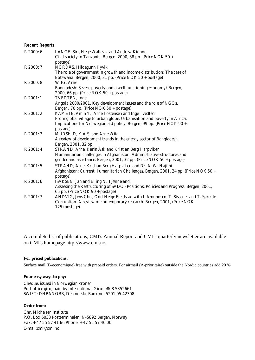#### **Recent Reports**

| R 2000: 6 | LANGE, Siri, Hege Wallevik and Andrew Kiondo.                                         |
|-----------|---------------------------------------------------------------------------------------|
|           | Civil society in Tanzania. Bergen, 2000, 38 pp. (Price NOK 50 +                       |
|           | postage)                                                                              |
| R 2000: 7 | NORDÅS, Hildegunn Kyvik                                                               |
|           | The role of government in growth and income distribution: The case of                 |
|           | Botswana. Bergen, 2000, 31 pp. (Price NOK 50 + postage)                               |
| R 2000: 8 | WIIG, Arne                                                                            |
|           | Bangladesh: Severe poverty and a well functioning economy? Bergen,                    |
|           | 2000, 66 pp. (Price NOK 50 + postage)                                                 |
| R 2001:1  | <b>TVEDTEN</b> , Inge                                                                 |
|           | Angola 2000/2001. Key development issues and the role of NGOs.                        |
|           | Bergen, 70 pp. (Price NOK 50 + postage)                                               |
| R 2001:2  | KAMETE, Amin Y., Arne Tostensen and Inge Tvedten                                      |
|           | From global village to urban globe. Urbanisation and poverty in Africa:               |
|           | Implications for Norwegian aid policy. Bergen, 99 pp. (Price NOK 90 +                 |
|           | postage)                                                                              |
| R 2001:3  | MURSHID, K.A.S. and Arne Wiig                                                         |
|           | A review of development trends in the energy sector of Bangladesh.                    |
|           | Bergen, 2001, 32 pp.                                                                  |
| R 2001:4  | STRAND, Arne, Karin Ask and Kristian Berg Harpviken                                   |
|           | Humanitarian challenges in Afghanistan: Administrative structures and                 |
|           | gender and assistance. Bergen, 2001, 32 pp. (Price NOK 50 + postage)                  |
| R 2001:5  | STRAND, Arne, Kristian Berg Harpviken and Dr. A. W. Najimi                            |
|           | Afghanistan: Current Humanitarian Challenges. Bergen, 2001, 24 pp. (Price NOK 50 +    |
|           | postage)                                                                              |
| R 2001:6  | ISAKSEN, Jan and Elling N. Tjønneland                                                 |
|           | Assessing the Restructuring of SADC - Positions, Policies and Progress. Bergen, 2001, |
|           | 65 pp. (Price NOK 90 + postage)                                                       |
| R 2001:7  | ANDVIG, Jens Chr., Odd-Helge Fjeldstad with I. Amundsen, T. Sissener and T. Søreide   |
|           | Corruption. A review of contemporary research. Bergen, 2001, (Price NOK               |
|           | 125+postage)                                                                          |
|           |                                                                                       |

A complete list of publications, CMI's Annual Report and CMI's quarterly newsletter are available on CMI's homepage http://www.cmi.no .

#### **For priced publications:**

Surface mail (B-economique) free with prepaid orders. For airmail (A-prioritaire) outside the Nordic countries add 20 %

#### **Four easy ways to pay:**

Cheque, issued in Norwegian kroner Post office giro, paid by International Giro: 0808 5352661 SWIFT: DNBANOBB, Den norske Bank no: 5201.05.42308

#### **Order from:**

Chr. Michelsen Institute P.O. Box 6033 Postterminalen, N-5892 Bergen, Norway Fax: + 47 55 57 41 66 Phone: + 47 55 57 40 00 E-mail:cmi@cmi.no